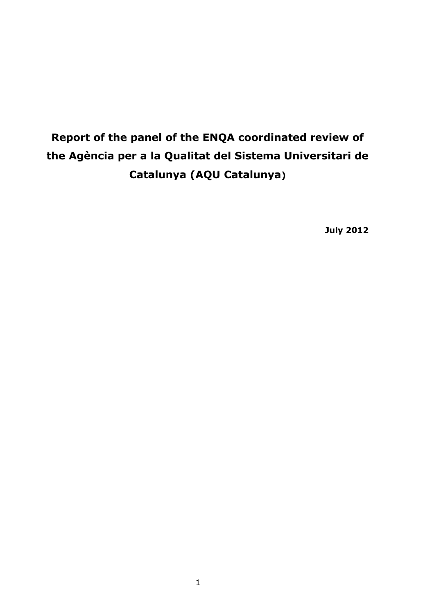# **Report of the panel of the ENQA coordinated review of the Agència per a la Qualitat del Sistema Universitari de Catalunya (AQU Catalunya)**

**July 2012**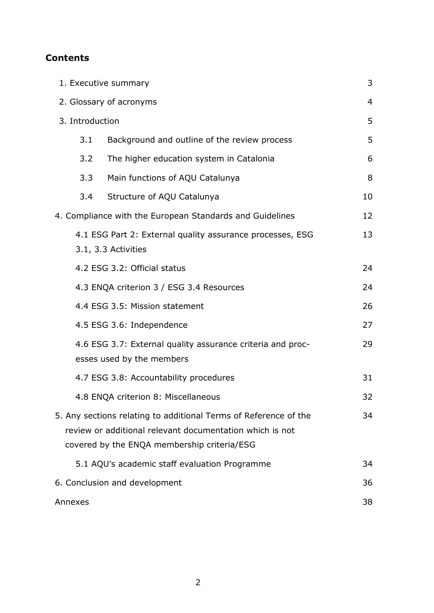## **Contents**

| 1. Executive summary                                                                                                                                                              |                                                                                         |    |
|-----------------------------------------------------------------------------------------------------------------------------------------------------------------------------------|-----------------------------------------------------------------------------------------|----|
| 2. Glossary of acronyms                                                                                                                                                           |                                                                                         |    |
| 3. Introduction                                                                                                                                                                   |                                                                                         |    |
| 3.1                                                                                                                                                                               | Background and outline of the review process                                            | 5  |
| 3.2                                                                                                                                                                               | The higher education system in Catalonia                                                | 6  |
| 3.3                                                                                                                                                                               | Main functions of AQU Catalunya                                                         | 8  |
| 3.4                                                                                                                                                                               | Structure of AQU Catalunya                                                              | 10 |
|                                                                                                                                                                                   | 4. Compliance with the European Standards and Guidelines                                | 12 |
|                                                                                                                                                                                   | 4.1 ESG Part 2: External quality assurance processes, ESG<br>3.1, 3.3 Activities        | 13 |
|                                                                                                                                                                                   | 4.2 ESG 3.2: Official status                                                            | 24 |
|                                                                                                                                                                                   | 4.3 ENQA criterion 3 / ESG 3.4 Resources                                                | 24 |
|                                                                                                                                                                                   | 4.4 ESG 3.5: Mission statement                                                          | 26 |
|                                                                                                                                                                                   | 4.5 ESG 3.6: Independence                                                               | 27 |
|                                                                                                                                                                                   | 4.6 ESG 3.7: External quality assurance criteria and proc-<br>esses used by the members | 29 |
|                                                                                                                                                                                   | 4.7 ESG 3.8: Accountability procedures                                                  | 31 |
|                                                                                                                                                                                   | 4.8 ENQA criterion 8: Miscellaneous                                                     | 32 |
| 5. Any sections relating to additional Terms of Reference of the<br>34<br>review or additional relevant documentation which is not<br>covered by the ENQA membership criteria/ESG |                                                                                         |    |
|                                                                                                                                                                                   | 5.1 AQU's academic staff evaluation Programme                                           | 34 |
| 6. Conclusion and development                                                                                                                                                     |                                                                                         |    |
| Annexes                                                                                                                                                                           |                                                                                         |    |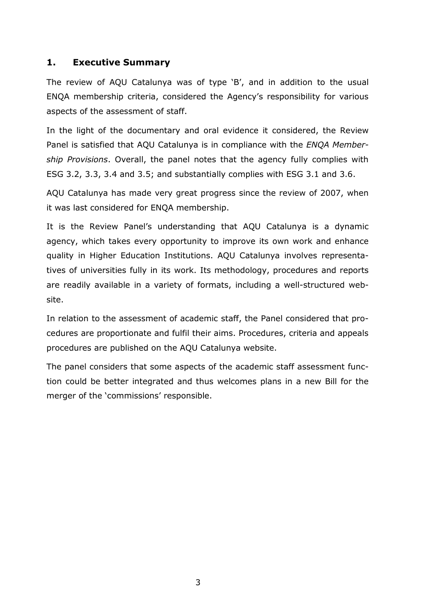## **1. Executive Summary**

The review of AQU Catalunya was of type 'B', and in addition to the usual ENQA membership criteria, considered the Agency's responsibility for various aspects of the assessment of staff.

In the light of the documentary and oral evidence it considered, the Review Panel is satisfied that AQU Catalunya is in compliance with the *ENQA Membership Provisions*. Overall, the panel notes that the agency fully complies with ESG 3.2, 3.3, 3.4 and 3.5; and substantially complies with ESG 3.1 and 3.6.

AQU Catalunya has made very great progress since the review of 2007, when it was last considered for ENQA membership.

It is the Review Panel's understanding that AQU Catalunya is a dynamic agency, which takes every opportunity to improve its own work and enhance quality in Higher Education Institutions. AQU Catalunya involves representatives of universities fully in its work. Its methodology, procedures and reports are readily available in a variety of formats, including a well-structured website.

In relation to the assessment of academic staff, the Panel considered that procedures are proportionate and fulfil their aims. Procedures, criteria and appeals procedures are published on the AQU Catalunya website.

The panel considers that some aspects of the academic staff assessment function could be better integrated and thus welcomes plans in a new Bill for the merger of the 'commissions' responsible.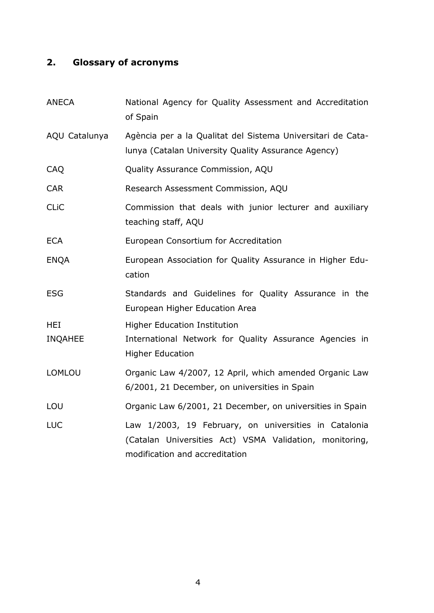# **2. Glossary of acronyms**

| <b>ANECA</b>   | National Agency for Quality Assessment and Accreditation<br>of Spain                                                                               |  |
|----------------|----------------------------------------------------------------------------------------------------------------------------------------------------|--|
| AQU Catalunya  | Agència per a la Qualitat del Sistema Universitari de Cata-<br>lunya (Catalan University Quality Assurance Agency)                                 |  |
| CAQ            | Quality Assurance Commission, AQU                                                                                                                  |  |
| <b>CAR</b>     | Research Assessment Commission, AQU                                                                                                                |  |
| <b>CLIC</b>    | Commission that deals with junior lecturer and auxiliary<br>teaching staff, AQU                                                                    |  |
| <b>ECA</b>     | European Consortium for Accreditation                                                                                                              |  |
| <b>ENQA</b>    | European Association for Quality Assurance in Higher Edu-<br>cation                                                                                |  |
| <b>ESG</b>     | Standards and Guidelines for Quality Assurance in the<br>European Higher Education Area                                                            |  |
| <b>HEI</b>     | <b>Higher Education Institution</b>                                                                                                                |  |
| <b>INQAHEE</b> | International Network for Quality Assurance Agencies in<br><b>Higher Education</b>                                                                 |  |
| <b>LOMLOU</b>  | Organic Law 4/2007, 12 April, which amended Organic Law<br>6/2001, 21 December, on universities in Spain                                           |  |
| LOU            | Organic Law 6/2001, 21 December, on universities in Spain                                                                                          |  |
| <b>LUC</b>     | Law 1/2003, 19 February, on universities in Catalonia<br>(Catalan Universities Act) VSMA Validation, monitoring,<br>modification and accreditation |  |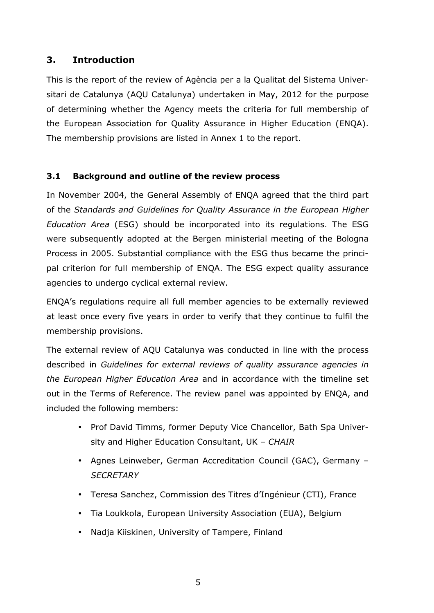## **3. Introduction**

This is the report of the review of Agència per a la Qualitat del Sistema Universitari de Catalunya (AQU Catalunya) undertaken in May, 2012 for the purpose of determining whether the Agency meets the criteria for full membership of the European Association for Quality Assurance in Higher Education (ENQA). The membership provisions are listed in Annex 1 to the report.

### **3.1 Background and outline of the review process**

In November 2004, the General Assembly of ENQA agreed that the third part of the *Standards and Guidelines for Quality Assurance in the European Higher Education Area* (ESG) should be incorporated into its regulations. The ESG were subsequently adopted at the Bergen ministerial meeting of the Bologna Process in 2005. Substantial compliance with the ESG thus became the principal criterion for full membership of ENQA. The ESG expect quality assurance agencies to undergo cyclical external review.

ENQA's regulations require all full member agencies to be externally reviewed at least once every five years in order to verify that they continue to fulfil the membership provisions.

The external review of AQU Catalunya was conducted in line with the process described in *Guidelines for external reviews of quality assurance agencies in the European Higher Education Area* and in accordance with the timeline set out in the Terms of Reference. The review panel was appointed by ENQA, and included the following members:

- Prof David Timms, former Deputy Vice Chancellor, Bath Spa University and Higher Education Consultant, UK – *CHAIR*
- Agnes Leinweber, German Accreditation Council (GAC), Germany *SECRETARY*
- Teresa Sanchez, Commission des Titres d'Ingénieur (CTI), France
- Tia Loukkola, European University Association (EUA), Belgium
- Nadja Kiiskinen, University of Tampere, Finland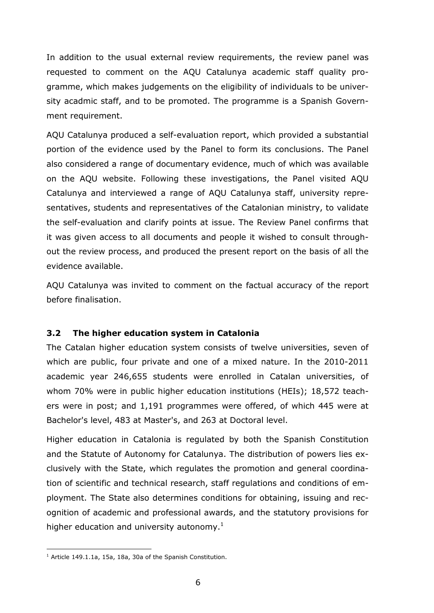In addition to the usual external review requirements, the review panel was requested to comment on the AQU Catalunya academic staff quality programme, which makes judgements on the eligibility of individuals to be university acadmic staff, and to be promoted. The programme is a Spanish Government requirement.

AQU Catalunya produced a self-evaluation report, which provided a substantial portion of the evidence used by the Panel to form its conclusions. The Panel also considered a range of documentary evidence, much of which was available on the AQU website. Following these investigations, the Panel visited AQU Catalunya and interviewed a range of AQU Catalunya staff, university representatives, students and representatives of the Catalonian ministry, to validate the self-evaluation and clarify points at issue. The Review Panel confirms that it was given access to all documents and people it wished to consult throughout the review process, and produced the present report on the basis of all the evidence available.

AQU Catalunya was invited to comment on the factual accuracy of the report before finalisation.

#### **3.2 The higher education system in Catalonia**

The Catalan higher education system consists of twelve universities, seven of which are public, four private and one of a mixed nature. In the 2010-2011 academic year 246,655 students were enrolled in Catalan universities, of whom 70% were in public higher education institutions (HEIs); 18,572 teachers were in post; and 1,191 programmes were offered, of which 445 were at Bachelor's level, 483 at Master's, and 263 at Doctoral level.

Higher education in Catalonia is regulated by both the Spanish Constitution and the Statute of Autonomy for Catalunya. The distribution of powers lies exclusively with the State, which regulates the promotion and general coordination of scientific and technical research, staff regulations and conditions of employment. The State also determines conditions for obtaining, issuing and recognition of academic and professional awards, and the statutory provisions for higher education and university autonomy.<sup>1</sup>

l

 $1$  Article 149.1.1a, 15a, 18a, 30a of the Spanish Constitution.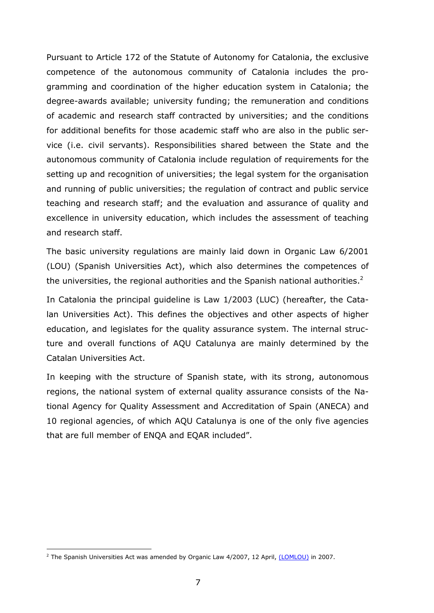Pursuant to Article 172 of the Statute of Autonomy for Catalonia, the exclusive competence of the autonomous community of Catalonia includes the programming and coordination of the higher education system in Catalonia; the degree-awards available; university funding; the remuneration and conditions of academic and research staff contracted by universities; and the conditions for additional benefits for those academic staff who are also in the public service (i.e. civil servants). Responsibilities shared between the State and the autonomous community of Catalonia include regulation of requirements for the setting up and recognition of universities; the legal system for the organisation and running of public universities; the regulation of contract and public service teaching and research staff; and the evaluation and assurance of quality and excellence in university education, which includes the assessment of teaching and research staff.

The basic university regulations are mainly laid down in Organic Law 6/2001 (LOU) (Spanish Universities Act), which also determines the competences of the universities, the regional authorities and the Spanish national authorities.<sup>2</sup>

In Catalonia the principal guideline is Law 1/2003 (LUC) (hereafter, the Catalan Universities Act). This defines the objectives and other aspects of higher education, and legislates for the quality assurance system. The internal structure and overall functions of AQU Catalunya are mainly determined by the Catalan Universities Act.

In keeping with the structure of Spanish state, with its strong, autonomous regions, the national system of external quality assurance consists of the National Agency for Quality Assessment and Accreditation of Spain (ANECA) and 10 regional agencies, of which AQU Catalunya is one of the only five agencies that are full member of ENQA and EQAR included".

l

<sup>&</sup>lt;sup>2</sup> The Spanish Universities Act was amended by Organic Law 4/2007, 12 April, <u>(LOMLOU)</u> in 2007.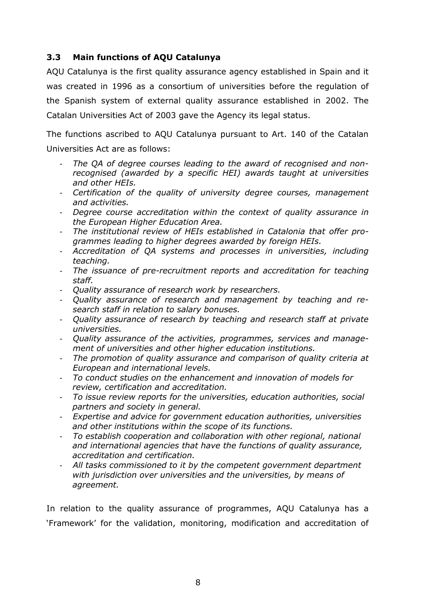## **3.3 Main functions of AQU Catalunya**

AQU Catalunya is the first quality assurance agency established in Spain and it was created in 1996 as a consortium of universities before the regulation of the Spanish system of external quality assurance established in 2002. The Catalan Universities Act of 2003 gave the Agency its legal status.

The functions ascribed to AQU Catalunya pursuant to Art. 140 of the Catalan Universities Act are as follows:

- *The QA of degree courses leading to the award of recognised and nonrecognised (awarded by a specific HEI) awards taught at universities and other HEIs.*
- *Certification of the quality of university degree courses, management and activities.*
- *Degree course accreditation within the context of quality assurance in the European Higher Education Area.*
- *The institutional review of HEIs established in Catalonia that offer programmes leading to higher degrees awarded by foreign HEIs.*
- *Accreditation of QA systems and processes in universities, including teaching.*
- *The issuance of pre-recruitment reports and accreditation for teaching staff.*
- *Quality assurance of research work by researchers.*
- *Quality assurance of research and management by teaching and research staff in relation to salary bonuses.*
- *Quality assurance of research by teaching and research staff at private universities.*
- *Quality assurance of the activities, programmes, services and management of universities and other higher education institutions.*
- *The promotion of quality assurance and comparison of quality criteria at European and international levels.*
- *To conduct studies on the enhancement and innovation of models for review, certification and accreditation.*
- *To issue review reports for the universities, education authorities, social partners and society in general.*
- *Expertise and advice for government education authorities, universities and other institutions within the scope of its functions.*
- *To establish cooperation and collaboration with other regional, national and international agencies that have the functions of quality assurance, accreditation and certification.*
- *All tasks commissioned to it by the competent government department with jurisdiction over universities and the universities, by means of agreement.*

In relation to the quality assurance of programmes, AQU Catalunya has a 'Framework' for the validation, monitoring, modification and accreditation of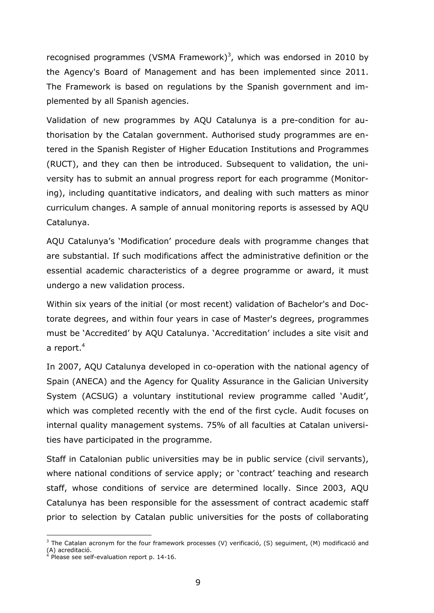recognised programmes (VSMA Framework)<sup>3</sup>, which was endorsed in 2010 by the Agency's Board of Management and has been implemented since 2011. The Framework is based on regulations by the Spanish government and implemented by all Spanish agencies.

Validation of new programmes by AQU Catalunya is a pre-condition for authorisation by the Catalan government. Authorised study programmes are entered in the Spanish Register of Higher Education Institutions and Programmes (RUCT), and they can then be introduced. Subsequent to validation, the university has to submit an annual progress report for each programme (Monitoring), including quantitative indicators, and dealing with such matters as minor curriculum changes. A sample of annual monitoring reports is assessed by AQU Catalunya.

AQU Catalunya's 'Modification' procedure deals with programme changes that are substantial. If such modifications affect the administrative definition or the essential academic characteristics of a degree programme or award, it must undergo a new validation process.

Within six years of the initial (or most recent) validation of Bachelor's and Doctorate degrees, and within four years in case of Master's degrees, programmes must be 'Accredited' by AQU Catalunya. 'Accreditation' includes a site visit and a report.<sup>4</sup>

In 2007, AQU Catalunya developed in co-operation with the national agency of Spain (ANECA) and the Agency for Quality Assurance in the Galician University System (ACSUG) a voluntary institutional review programme called 'Audit', which was completed recently with the end of the first cycle. Audit focuses on internal quality management systems. 75% of all faculties at Catalan universities have participated in the programme.

Staff in Catalonian public universities may be in public service (civil servants), where national conditions of service apply; or 'contract' teaching and research staff, whose conditions of service are determined locally. Since 2003, AQU Catalunya has been responsible for the assessment of contract academic staff prior to selection by Catalan public universities for the posts of collaborating

1

<sup>&</sup>lt;sup>3</sup> The Catalan acronym for the four framework processes (V) verificació, (S) seguiment, (M) modificació and (A) acreditació.<br><sup>4</sup> Ploase seo self

Please see self-evaluation report p. 14-16.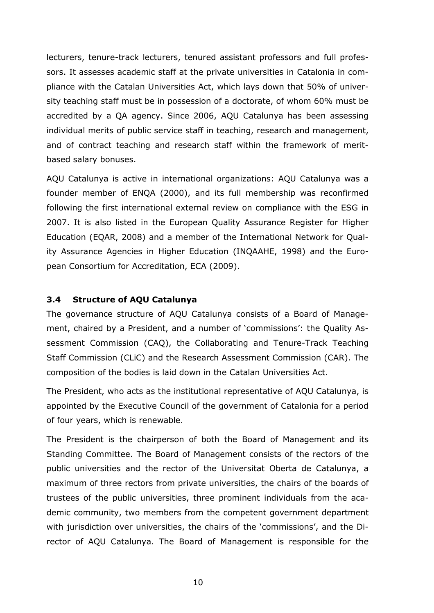lecturers, tenure-track lecturers, tenured assistant professors and full professors. It assesses academic staff at the private universities in Catalonia in compliance with the Catalan Universities Act, which lays down that 50% of university teaching staff must be in possession of a doctorate, of whom 60% must be accredited by a QA agency. Since 2006, AQU Catalunya has been assessing individual merits of public service staff in teaching, research and management, and of contract teaching and research staff within the framework of meritbased salary bonuses.

AQU Catalunya is active in international organizations: AQU Catalunya was a founder member of ENQA (2000), and its full membership was reconfirmed following the first international external review on compliance with the ESG in 2007. It is also listed in the European Quality Assurance Register for Higher Education (EQAR, 2008) and a member of the International Network for Quality Assurance Agencies in Higher Education (INQAAHE, 1998) and the European Consortium for Accreditation, ECA (2009).

### **3.4 Structure of AQU Catalunya**

The governance structure of AQU Catalunya consists of a Board of Management, chaired by a President, and a number of 'commissions': the Quality Assessment Commission (CAQ), the Collaborating and Tenure-Track Teaching Staff Commission (CLiC) and the Research Assessment Commission (CAR). The composition of the bodies is laid down in the Catalan Universities Act.

The President, who acts as the institutional representative of AQU Catalunya, is appointed by the Executive Council of the government of Catalonia for a period of four years, which is renewable.

The President is the chairperson of both the Board of Management and its Standing Committee. The Board of Management consists of the rectors of the public universities and the rector of the Universitat Oberta de Catalunya, a maximum of three rectors from private universities, the chairs of the boards of trustees of the public universities, three prominent individuals from the academic community, two members from the competent government department with jurisdiction over universities, the chairs of the 'commissions', and the Director of AQU Catalunya. The Board of Management is responsible for the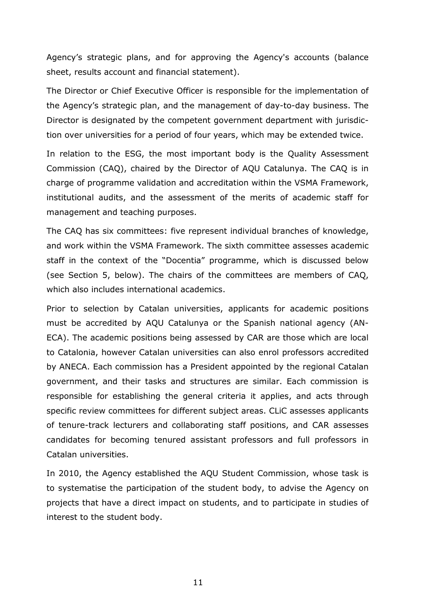Agency's strategic plans, and for approving the Agency's accounts (balance sheet, results account and financial statement).

The Director or Chief Executive Officer is responsible for the implementation of the Agency's strategic plan, and the management of day-to-day business. The Director is designated by the competent government department with jurisdiction over universities for a period of four years, which may be extended twice.

In relation to the ESG, the most important body is the Quality Assessment Commission (CAQ), chaired by the Director of AQU Catalunya. The CAQ is in charge of programme validation and accreditation within the VSMA Framework, institutional audits, and the assessment of the merits of academic staff for management and teaching purposes.

The CAQ has six committees: five represent individual branches of knowledge, and work within the VSMA Framework. The sixth committee assesses academic staff in the context of the "Docentia" programme, which is discussed below (see Section 5, below). The chairs of the committees are members of CAQ, which also includes international academics.

Prior to selection by Catalan universities, applicants for academic positions must be accredited by AQU Catalunya or the Spanish national agency (AN-ECA). The academic positions being assessed by CAR are those which are local to Catalonia, however Catalan universities can also enrol professors accredited by ANECA. Each commission has a President appointed by the regional Catalan government, and their tasks and structures are similar. Each commission is responsible for establishing the general criteria it applies, and acts through specific review committees for different subject areas. CLiC assesses applicants of tenure-track lecturers and collaborating staff positions, and CAR assesses candidates for becoming tenured assistant professors and full professors in Catalan universities.

In 2010, the Agency established the AQU Student Commission, whose task is to systematise the participation of the student body, to advise the Agency on projects that have a direct impact on students, and to participate in studies of interest to the student body.

11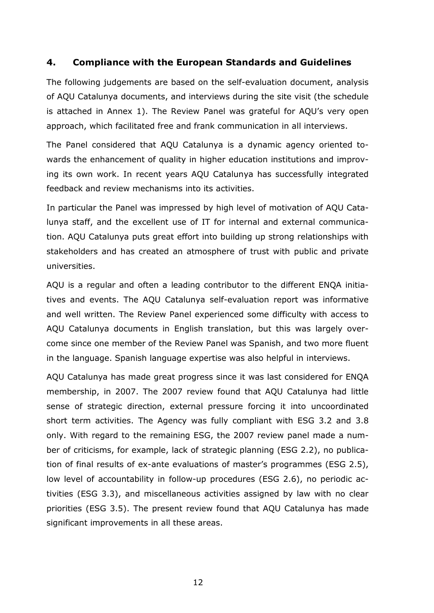## **4. Compliance with the European Standards and Guidelines**

The following judgements are based on the self-evaluation document, analysis of AQU Catalunya documents, and interviews during the site visit (the schedule is attached in Annex 1). The Review Panel was grateful for AQU's very open approach, which facilitated free and frank communication in all interviews.

The Panel considered that AQU Catalunya is a dynamic agency oriented towards the enhancement of quality in higher education institutions and improving its own work. In recent years AQU Catalunya has successfully integrated feedback and review mechanisms into its activities.

In particular the Panel was impressed by high level of motivation of AQU Catalunya staff, and the excellent use of IT for internal and external communication. AQU Catalunya puts great effort into building up strong relationships with stakeholders and has created an atmosphere of trust with public and private universities.

AQU is a regular and often a leading contributor to the different ENQA initiatives and events. The AQU Catalunya self-evaluation report was informative and well written. The Review Panel experienced some difficulty with access to AQU Catalunya documents in English translation, but this was largely overcome since one member of the Review Panel was Spanish, and two more fluent in the language. Spanish language expertise was also helpful in interviews.

AQU Catalunya has made great progress since it was last considered for ENQA membership, in 2007. The 2007 review found that AQU Catalunya had little sense of strategic direction, external pressure forcing it into uncoordinated short term activities. The Agency was fully compliant with ESG 3.2 and 3.8 only. With regard to the remaining ESG, the 2007 review panel made a number of criticisms, for example, lack of strategic planning (ESG 2.2), no publication of final results of ex-ante evaluations of master's programmes (ESG 2.5), low level of accountability in follow-up procedures (ESG 2.6), no periodic activities (ESG 3.3), and miscellaneous activities assigned by law with no clear priorities (ESG 3.5). The present review found that AQU Catalunya has made significant improvements in all these areas.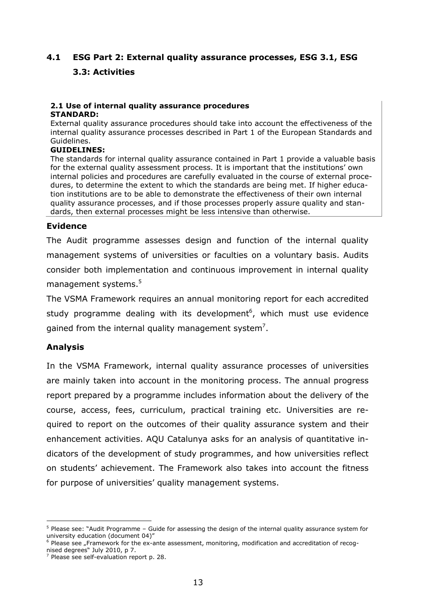## **4.1 ESG Part 2: External quality assurance processes, ESG 3.1, ESG 3.3: Activities**

#### **2.1 Use of internal quality assurance procedures STANDARD:**

External quality assurance procedures should take into account the effectiveness of the internal quality assurance processes described in Part 1 of the European Standards and Guidelines.

#### **GUIDELINES:**

The standards for internal quality assurance contained in Part 1 provide a valuable basis for the external quality assessment process. It is important that the institutions' own internal policies and procedures are carefully evaluated in the course of external procedures, to determine the extent to which the standards are being met. If higher education institutions are to be able to demonstrate the effectiveness of their own internal quality assurance processes, and if those processes properly assure quality and standards, then external processes might be less intensive than otherwise.

#### **Evidence**

The Audit programme assesses design and function of the internal quality management systems of universities or faculties on a voluntary basis. Audits consider both implementation and continuous improvement in internal quality management systems.<sup>5</sup>

The VSMA Framework requires an annual monitoring report for each accredited study programme dealing with its development<sup>6</sup>, which must use evidence gained from the internal quality management system<sup>7</sup>.

### **Analysis**

1

In the VSMA Framework, internal quality assurance processes of universities are mainly taken into account in the monitoring process. The annual progress report prepared by a programme includes information about the delivery of the course, access, fees, curriculum, practical training etc. Universities are required to report on the outcomes of their quality assurance system and their enhancement activities. AQU Catalunya asks for an analysis of quantitative indicators of the development of study programmes, and how universities reflect on students' achievement. The Framework also takes into account the fitness for purpose of universities' quality management systems.

<sup>&</sup>lt;sup>5</sup> Please see: "Audit Programme – Guide for assessing the design of the internal quality assurance system for university education (document 04)"<br><sup>6</sup> Please see "Framework for the ex-ante assessment, monitoring, modification and accreditation of recog-

nised degrees" July 2010, p 7.

 $7$  Please see self-evaluation report p. 28.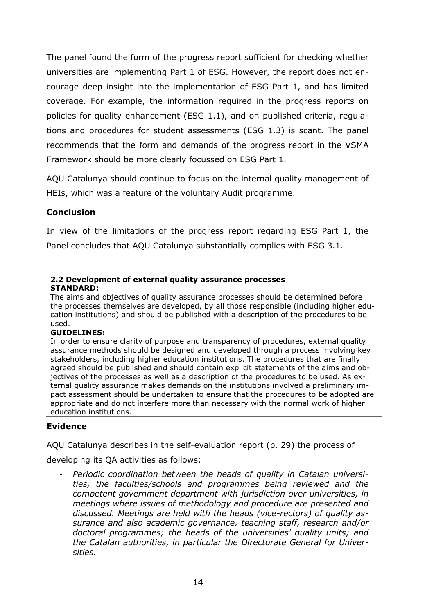The panel found the form of the progress report sufficient for checking whether universities are implementing Part 1 of ESG. However, the report does not encourage deep insight into the implementation of ESG Part 1, and has limited coverage. For example, the information required in the progress reports on policies for quality enhancement (ESG 1.1), and on published criteria, regulations and procedures for student assessments (ESG 1.3) is scant. The panel recommends that the form and demands of the progress report in the VSMA Framework should be more clearly focussed on ESG Part 1.

AQU Catalunya should continue to focus on the internal quality management of HEIs, which was a feature of the voluntary Audit programme.

## **Conclusion**

In view of the limitations of the progress report regarding ESG Part 1, the Panel concludes that AQU Catalunya substantially complies with ESG 3.1.

#### **2.2 Development of external quality assurance processes STANDARD:**

The aims and objectives of quality assurance processes should be determined before the processes themselves are developed, by all those responsible (including higher education institutions) and should be published with a description of the procedures to be used.

#### **GUIDELINES:**

In order to ensure clarity of purpose and transparency of procedures, external quality assurance methods should be designed and developed through a process involving key stakeholders, including higher education institutions. The procedures that are finally agreed should be published and should contain explicit statements of the aims and objectives of the processes as well as a description of the procedures to be used. As external quality assurance makes demands on the institutions involved a preliminary impact assessment should be undertaken to ensure that the procedures to be adopted are appropriate and do not interfere more than necessary with the normal work of higher education institutions.

### **Evidence**

AQU Catalunya describes in the self-evaluation report (p. 29) the process of

developing its QA activities as follows:

- *Periodic coordination between the heads of quality in Catalan universities, the faculties/schools and programmes being reviewed and the competent government department with jurisdiction over universities, in meetings where issues of methodology and procedure are presented and discussed. Meetings are held with the heads (vice-rectors) of quality assurance and also academic governance, teaching staff, research and/or doctoral programmes; the heads of the universities' quality units; and the Catalan authorities, in particular the Directorate General for Universities.*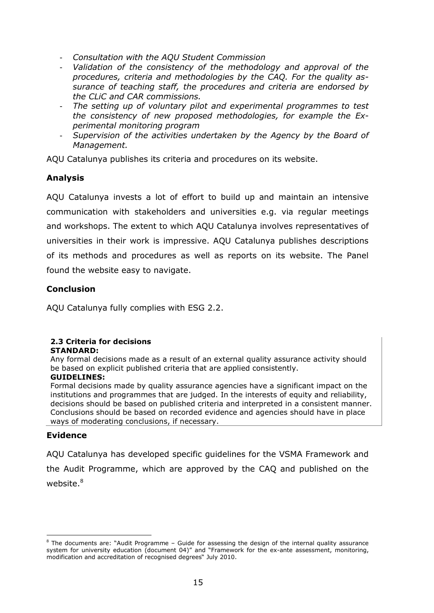- *Consultation with the AQU Student Commission*
- *Validation of the consistency of the methodology and approval of the procedures, criteria and methodologies by the CAQ. For the quality assurance of teaching staff, the procedures and criteria are endorsed by the CLiC and CAR commissions.*
- The setting up of voluntary pilot and experimental programmes to test *the consistency of new proposed methodologies, for example the Experimental monitoring program*
- *Supervision of the activities undertaken by the Agency by the Board of Management.*

AQU Catalunya publishes its criteria and procedures on its website.

### **Analysis**

AQU Catalunya invests a lot of effort to build up and maintain an intensive communication with stakeholders and universities e.g. via regular meetings and workshops. The extent to which AQU Catalunya involves representatives of universities in their work is impressive. AQU Catalunya publishes descriptions of its methods and procedures as well as reports on its website. The Panel found the website easy to navigate.

### **Conclusion**

AQU Catalunya fully complies with ESG 2.2.

#### **2.3 Criteria for decisions STANDARD:**

Any formal decisions made as a result of an external quality assurance activity should be based on explicit published criteria that are applied consistently.

#### **GUIDELINES:**

Formal decisions made by quality assurance agencies have a significant impact on the institutions and programmes that are judged. In the interests of equity and reliability, decisions should be based on published criteria and interpreted in a consistent manner. Conclusions should be based on recorded evidence and agencies should have in place ways of moderating conclusions, if necessary.

#### **Evidence**

1

AQU Catalunya has developed specific guidelines for the VSMA Framework and the Audit Programme, which are approved by the CAQ and published on the website.<sup>8</sup>

<sup>&</sup>lt;sup>8</sup> The documents are: "Audit Programme - Guide for assessing the design of the internal quality assurance system for university education (document 04)" and "Framework for the ex-ante assessment, monitoring, modification and accreditation of recognised degrees" July 2010.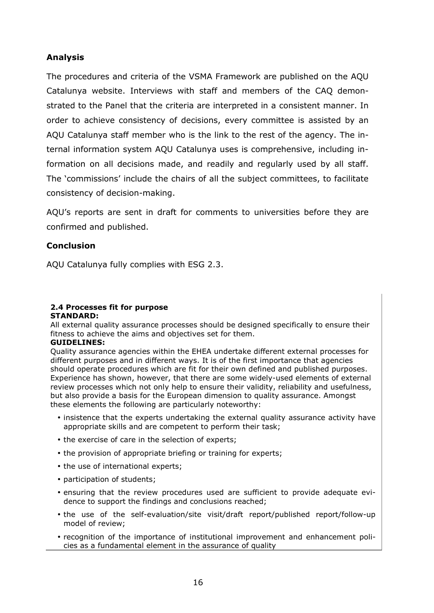### **Analysis**

The procedures and criteria of the VSMA Framework are published on the AQU Catalunya website. Interviews with staff and members of the CAQ demonstrated to the Panel that the criteria are interpreted in a consistent manner. In order to achieve consistency of decisions, every committee is assisted by an AQU Catalunya staff member who is the link to the rest of the agency. The internal information system AQU Catalunya uses is comprehensive, including information on all decisions made, and readily and regularly used by all staff. The 'commissions' include the chairs of all the subject committees, to facilitate consistency of decision-making.

AQU's reports are sent in draft for comments to universities before they are confirmed and published.

### **Conclusion**

AQU Catalunya fully complies with ESG 2.3.

#### **2.4 Processes fit for purpose STANDARD:**

All external quality assurance processes should be designed specifically to ensure their fitness to achieve the aims and objectives set for them.

#### **GUIDELINES:**

Quality assurance agencies within the EHEA undertake different external processes for different purposes and in different ways. It is of the first importance that agencies should operate procedures which are fit for their own defined and published purposes. Experience has shown, however, that there are some widely-used elements of external review processes which not only help to ensure their validity, reliability and usefulness, but also provide a basis for the European dimension to quality assurance. Amongst these elements the following are particularly noteworthy:

- insistence that the experts undertaking the external quality assurance activity have appropriate skills and are competent to perform their task;
- the exercise of care in the selection of experts;
- the provision of appropriate briefing or training for experts;
- the use of international experts;
- participation of students;
- ensuring that the review procedures used are sufficient to provide adequate evidence to support the findings and conclusions reached;
- the use of the self-evaluation/site visit/draft report/published report/follow-up model of review;
- recognition of the importance of institutional improvement and enhancement policies as a fundamental element in the assurance of quality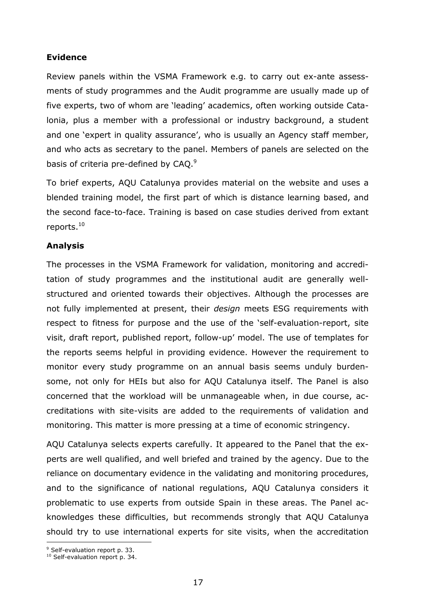#### **Evidence**

Review panels within the VSMA Framework e.g. to carry out ex-ante assessments of study programmes and the Audit programme are usually made up of five experts, two of whom are 'leading' academics, often working outside Catalonia, plus a member with a professional or industry background, a student and one 'expert in quality assurance', who is usually an Agency staff member, and who acts as secretary to the panel. Members of panels are selected on the basis of criteria pre-defined by CAQ. $9$ 

To brief experts, AQU Catalunya provides material on the website and uses a blended training model, the first part of which is distance learning based, and the second face-to-face. Training is based on case studies derived from extant reports.<sup>10</sup>

#### **Analysis**

The processes in the VSMA Framework for validation, monitoring and accreditation of study programmes and the institutional audit are generally wellstructured and oriented towards their objectives. Although the processes are not fully implemented at present, their *design* meets ESG requirements with respect to fitness for purpose and the use of the 'self-evaluation-report, site visit, draft report, published report, follow-up' model. The use of templates for the reports seems helpful in providing evidence. However the requirement to monitor every study programme on an annual basis seems unduly burdensome, not only for HEIs but also for AQU Catalunya itself. The Panel is also concerned that the workload will be unmanageable when, in due course, accreditations with site-visits are added to the requirements of validation and monitoring. This matter is more pressing at a time of economic stringency.

AQU Catalunya selects experts carefully. It appeared to the Panel that the experts are well qualified, and well briefed and trained by the agency. Due to the reliance on documentary evidence in the validating and monitoring procedures, and to the significance of national regulations, AQU Catalunya considers it problematic to use experts from outside Spain in these areas. The Panel acknowledges these difficulties, but recommends strongly that AQU Catalunya should try to use international experts for site visits, when the accreditation

l <sup>9</sup> Self-evaluation report p. 33.

<sup>&</sup>lt;sup>10</sup> Self-evaluation report p. 34.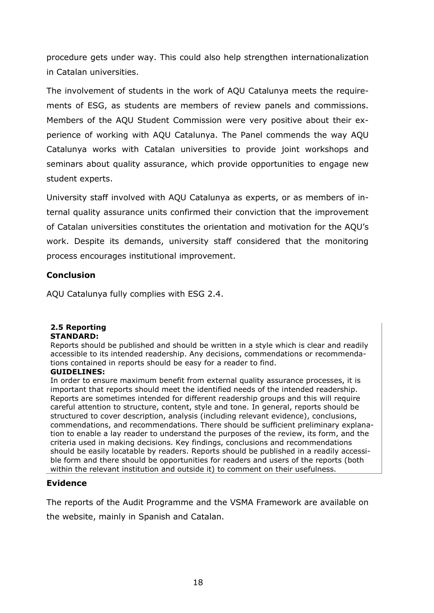procedure gets under way. This could also help strengthen internationalization in Catalan universities.

The involvement of students in the work of AQU Catalunya meets the requirements of ESG, as students are members of review panels and commissions. Members of the AQU Student Commission were very positive about their experience of working with AQU Catalunya. The Panel commends the way AQU Catalunya works with Catalan universities to provide joint workshops and seminars about quality assurance, which provide opportunities to engage new student experts.

University staff involved with AQU Catalunya as experts, or as members of internal quality assurance units confirmed their conviction that the improvement of Catalan universities constitutes the orientation and motivation for the AQU's work. Despite its demands, university staff considered that the monitoring process encourages institutional improvement.

### **Conclusion**

AQU Catalunya fully complies with ESG 2.4.

# **2.5 Reporting**

### **STANDARD:**

Reports should be published and should be written in a style which is clear and readily accessible to its intended readership. Any decisions, commendations or recommendations contained in reports should be easy for a reader to find.

#### **GUIDELINES:**

In order to ensure maximum benefit from external quality assurance processes, it is important that reports should meet the identified needs of the intended readership. Reports are sometimes intended for different readership groups and this will require careful attention to structure, content, style and tone. In general, reports should be structured to cover description, analysis (including relevant evidence), conclusions, commendations, and recommendations. There should be sufficient preliminary explanation to enable a lay reader to understand the purposes of the review, its form, and the criteria used in making decisions. Key findings, conclusions and recommendations should be easily locatable by readers. Reports should be published in a readily accessible form and there should be opportunities for readers and users of the reports (both within the relevant institution and outside it) to comment on their usefulness.

### **Evidence**

The reports of the Audit Programme and the VSMA Framework are available on the website, mainly in Spanish and Catalan.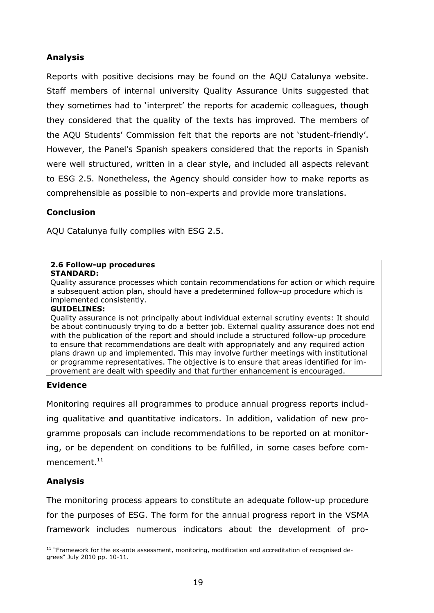### **Analysis**

Reports with positive decisions may be found on the AQU Catalunya website. Staff members of internal university Quality Assurance Units suggested that they sometimes had to 'interpret' the reports for academic colleagues, though they considered that the quality of the texts has improved. The members of the AQU Students' Commission felt that the reports are not 'student-friendly'. However, the Panel's Spanish speakers considered that the reports in Spanish were well structured, written in a clear style, and included all aspects relevant to ESG 2.5. Nonetheless, the Agency should consider how to make reports as comprehensible as possible to non-experts and provide more translations.

### **Conclusion**

AQU Catalunya fully complies with ESG 2.5.

#### **2.6 Follow-up procedures STANDARD:**

Quality assurance processes which contain recommendations for action or which require a subsequent action plan, should have a predetermined follow-up procedure which is implemented consistently.

#### **GUIDELINES:**

Quality assurance is not principally about individual external scrutiny events: It should be about continuously trying to do a better job. External quality assurance does not end with the publication of the report and should include a structured follow-up procedure to ensure that recommendations are dealt with appropriately and any required action plans drawn up and implemented. This may involve further meetings with institutional or programme representatives. The objective is to ensure that areas identified for improvement are dealt with speedily and that further enhancement is encouraged.

### **Evidence**

Monitoring requires all programmes to produce annual progress reports including qualitative and quantitative indicators. In addition, validation of new programme proposals can include recommendations to be reported on at monitoring, or be dependent on conditions to be fulfilled, in some cases before commencement. $^{\rm 11}$ 

## **Analysis**

The monitoring process appears to constitute an adequate follow-up procedure for the purposes of ESG. The form for the annual progress report in the VSMA framework includes numerous indicators about the development of pro-

l  $11$  "Framework for the ex-ante assessment, monitoring, modification and accreditation of recognised degrees" July 2010 pp. 10-11.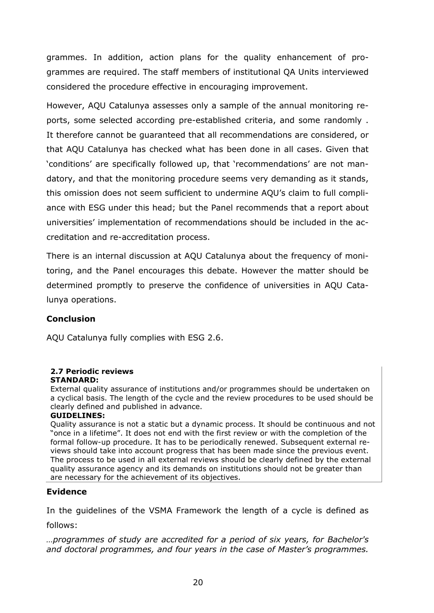grammes. In addition, action plans for the quality enhancement of programmes are required. The staff members of institutional QA Units interviewed considered the procedure effective in encouraging improvement.

However, AQU Catalunya assesses only a sample of the annual monitoring reports, some selected according pre-established criteria, and some randomly . It therefore cannot be guaranteed that all recommendations are considered, or that AQU Catalunya has checked what has been done in all cases. Given that 'conditions' are specifically followed up, that 'recommendations' are not mandatory, and that the monitoring procedure seems very demanding as it stands, this omission does not seem sufficient to undermine AQU's claim to full compliance with ESG under this head; but the Panel recommends that a report about universities' implementation of recommendations should be included in the accreditation and re-accreditation process.

There is an internal discussion at AQU Catalunya about the frequency of monitoring, and the Panel encourages this debate. However the matter should be determined promptly to preserve the confidence of universities in AQU Catalunya operations.

## **Conclusion**

AQU Catalunya fully complies with ESG 2.6.

#### **2.7 Periodic reviews STANDARD:**

External quality assurance of institutions and/or programmes should be undertaken on a cyclical basis. The length of the cycle and the review procedures to be used should be clearly defined and published in advance.

#### **GUIDELINES:**

Quality assurance is not a static but a dynamic process. It should be continuous and not "once in a lifetime". It does not end with the first review or with the completion of the formal follow-up procedure. It has to be periodically renewed. Subsequent external reviews should take into account progress that has been made since the previous event. The process to be used in all external reviews should be clearly defined by the external quality assurance agency and its demands on institutions should not be greater than are necessary for the achievement of its objectives.

### **Evidence**

In the guidelines of the VSMA Framework the length of a cycle is defined as follows:

*…programmes of study are accredited for a period of six years, for Bachelor's and doctoral programmes, and four years in the case of Master's programmes.*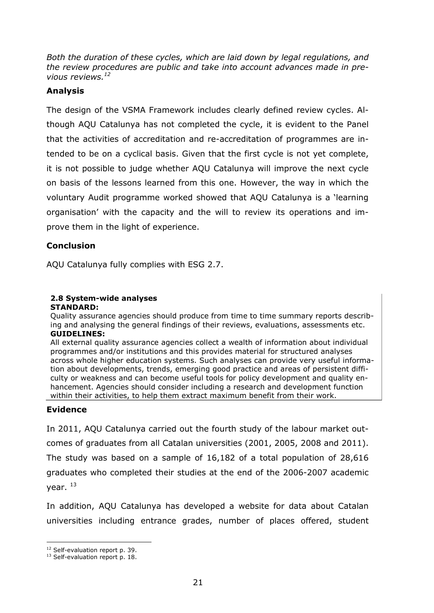*Both the duration of these cycles, which are laid down by legal regulations, and the review procedures are public and take into account advances made in previous reviews.<sup>12</sup>*

### **Analysis**

The design of the VSMA Framework includes clearly defined review cycles. Although AQU Catalunya has not completed the cycle, it is evident to the Panel that the activities of accreditation and re-accreditation of programmes are intended to be on a cyclical basis. Given that the first cycle is not yet complete, it is not possible to judge whether AQU Catalunya will improve the next cycle on basis of the lessons learned from this one. However, the way in which the voluntary Audit programme worked showed that AQU Catalunya is a 'learning organisation' with the capacity and the will to review its operations and improve them in the light of experience.

### **Conclusion**

AQU Catalunya fully complies with ESG 2.7.

## **2.8 System-wide analyses**

#### **STANDARD:**

Quality assurance agencies should produce from time to time summary reports describing and analysing the general findings of their reviews, evaluations, assessments etc. **GUIDELINES:** 

All external quality assurance agencies collect a wealth of information about individual programmes and/or institutions and this provides material for structured analyses across whole higher education systems. Such analyses can provide very useful information about developments, trends, emerging good practice and areas of persistent difficulty or weakness and can become useful tools for policy development and quality enhancement. Agencies should consider including a research and development function within their activities, to help them extract maximum benefit from their work.

### **Evidence**

In 2011, AQU Catalunya carried out the fourth study of the labour market outcomes of graduates from all Catalan universities (2001, 2005, 2008 and 2011). The study was based on a sample of 16,182 of a total population of 28,616 graduates who completed their studies at the end of the 2006-2007 academic vear.  $^{13}$ 

In addition, AQU Catalunya has developed a website for data about Catalan universities including entrance grades, number of places offered, student

l <sup>12</sup> Self-evaluation report p. 39.

<sup>&</sup>lt;sup>13</sup> Self-evaluation report p. 18.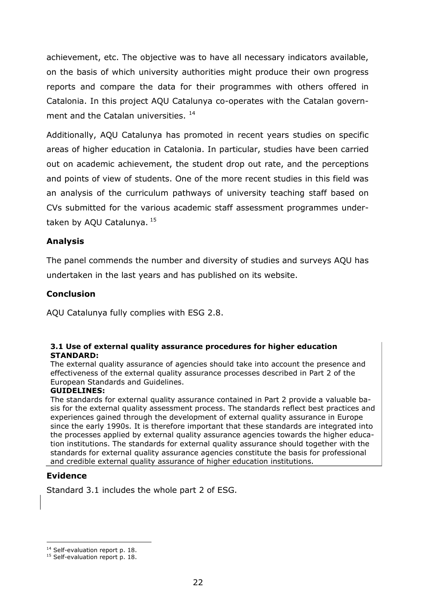achievement, etc. The objective was to have all necessary indicators available, on the basis of which university authorities might produce their own progress reports and compare the data for their programmes with others offered in Catalonia. In this project AQU Catalunya co-operates with the Catalan government and the Catalan universities.<sup>14</sup>

Additionally, AQU Catalunya has promoted in recent years studies on specific areas of higher education in Catalonia. In particular, studies have been carried out on academic achievement, the student drop out rate, and the perceptions and points of view of students. One of the more recent studies in this field was an analysis of the curriculum pathways of university teaching staff based on CVs submitted for the various academic staff assessment programmes undertaken by AQU Catalunya. <sup>15</sup>

### **Analysis**

The panel commends the number and diversity of studies and surveys AQU has undertaken in the last years and has published on its website.

### **Conclusion**

AQU Catalunya fully complies with ESG 2.8.

#### **3.1 Use of external quality assurance procedures for higher education STANDARD:**

The external quality assurance of agencies should take into account the presence and effectiveness of the external quality assurance processes described in Part 2 of the European Standards and Guidelines.

#### **GUIDELINES:**

The standards for external quality assurance contained in Part 2 provide a valuable basis for the external quality assessment process. The standards reflect best practices and experiences gained through the development of external quality assurance in Europe since the early 1990s. It is therefore important that these standards are integrated into the processes applied by external quality assurance agencies towards the higher education institutions. The standards for external quality assurance should together with the standards for external quality assurance agencies constitute the basis for professional and credible external quality assurance of higher education institutions.

### **Evidence**

Standard 3.1 includes the whole part 2 of ESG.

l <sup>14</sup> Self-evaluation report p. 18.

<sup>&</sup>lt;sup>15</sup> Self-evaluation report p. 18.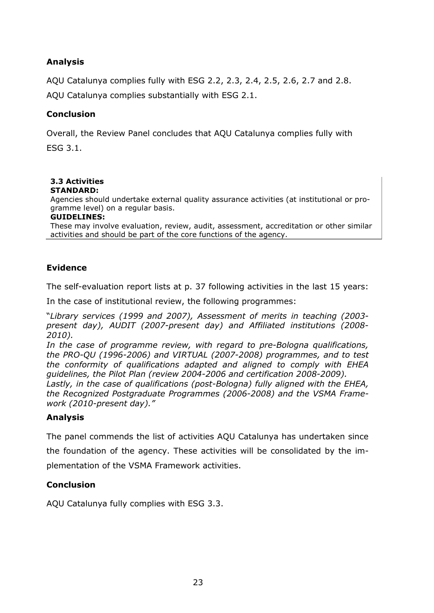## **Analysis**

AQU Catalunya complies fully with ESG 2.2, 2.3, 2.4, 2.5, 2.6, 2.7 and 2.8. AQU Catalunya complies substantially with ESG 2.1.

### **Conclusion**

Overall, the Review Panel concludes that AQU Catalunya complies fully with ESG 3.1.

#### **3.3 Activities STANDARD:**

Agencies should undertake external quality assurance activities (at institutional or programme level) on a regular basis.

#### **GUIDELINES:**

These may involve evaluation, review, audit, assessment, accreditation or other similar activities and should be part of the core functions of the agency.

### **Evidence**

The self-evaluation report lists at p. 37 following activities in the last 15 years:

In the case of institutional review, the following programmes:

"*Library services (1999 and 2007), Assessment of merits in teaching (2003 present day), AUDIT (2007-present day) and Affiliated institutions (2008- 2010).* 

*In the case of programme review, with regard to pre-Bologna qualifications, the PRO-QU (1996-2006) and VIRTUAL (2007-2008) programmes, and to test the conformity of qualifications adapted and aligned to comply with EHEA guidelines, the Pilot Plan (review 2004-2006 and certification 2008-2009).* 

*Lastly, in the case of qualifications (post-Bologna) fully aligned with the EHEA, the Recognized Postgraduate Programmes (2006-2008) and the VSMA Framework (2010-present day)."* 

## **Analysis**

The panel commends the list of activities AQU Catalunya has undertaken since the foundation of the agency. These activities will be consolidated by the implementation of the VSMA Framework activities.

## **Conclusion**

AQU Catalunya fully complies with ESG 3.3.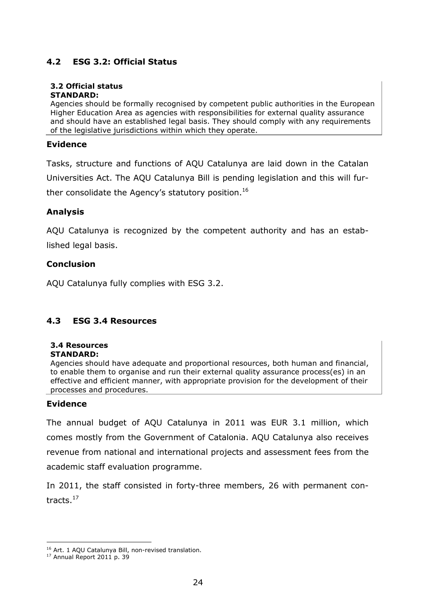### **4.2 ESG 3.2: Official Status**

#### **3.2 Official status STANDARD:**

Agencies should be formally recognised by competent public authorities in the European Higher Education Area as agencies with responsibilities for external quality assurance and should have an established legal basis. They should comply with any requirements of the legislative jurisdictions within which they operate.

#### **Evidence**

Tasks, structure and functions of AQU Catalunya are laid down in the Catalan Universities Act. The AQU Catalunya Bill is pending legislation and this will further consolidate the Agency's statutory position.<sup>16</sup>

### **Analysis**

AQU Catalunya is recognized by the competent authority and has an established legal basis.

#### **Conclusion**

AQU Catalunya fully complies with ESG 3.2.

### **4.3 ESG 3.4 Resources**

## **3.4 Resources**

#### **STANDARD:**

Agencies should have adequate and proportional resources, both human and financial, to enable them to organise and run their external quality assurance process(es) in an effective and efficient manner, with appropriate provision for the development of their processes and procedures.

### **Evidence**

The annual budget of AQU Catalunya in 2011 was EUR 3.1 million, which comes mostly from the Government of Catalonia. AQU Catalunya also receives revenue from national and international projects and assessment fees from the academic staff evaluation programme.

In 2011, the staff consisted in forty-three members, 26 with permanent contracts.<sup>17</sup>

l

<sup>&</sup>lt;sup>16</sup> Art. 1 AQU Catalunya Bill, non-revised translation.

<sup>17</sup> Annual Report 2011 p. 39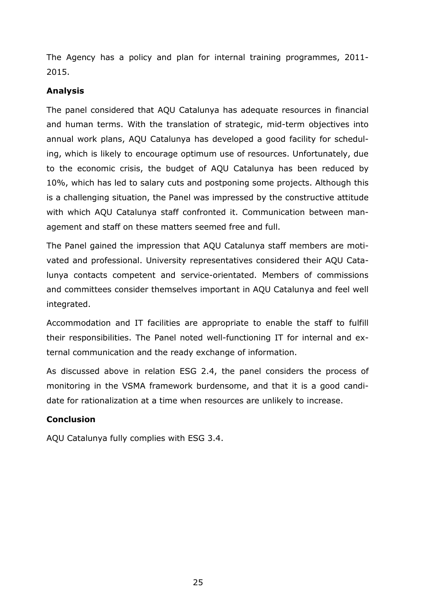The Agency has a policy and plan for internal training programmes, 2011- 2015.

### **Analysis**

The panel considered that AQU Catalunya has adequate resources in financial and human terms. With the translation of strategic, mid-term objectives into annual work plans, AQU Catalunya has developed a good facility for scheduling, which is likely to encourage optimum use of resources. Unfortunately, due to the economic crisis, the budget of AQU Catalunya has been reduced by 10%, which has led to salary cuts and postponing some projects. Although this is a challenging situation, the Panel was impressed by the constructive attitude with which AQU Catalunya staff confronted it. Communication between management and staff on these matters seemed free and full.

The Panel gained the impression that AQU Catalunya staff members are motivated and professional. University representatives considered their AQU Catalunya contacts competent and service-orientated. Members of commissions and committees consider themselves important in AQU Catalunya and feel well integrated.

Accommodation and IT facilities are appropriate to enable the staff to fulfill their responsibilities. The Panel noted well-functioning IT for internal and external communication and the ready exchange of information.

As discussed above in relation ESG 2.4, the panel considers the process of monitoring in the VSMA framework burdensome, and that it is a good candidate for rationalization at a time when resources are unlikely to increase.

## **Conclusion**

AQU Catalunya fully complies with ESG 3.4.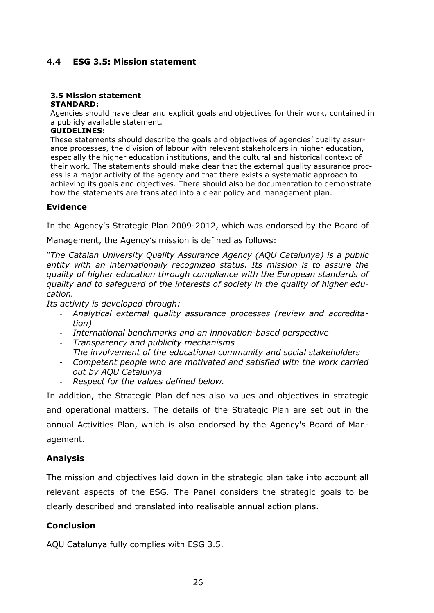### **4.4 ESG 3.5: Mission statement**

#### **3.5 Mission statement STANDARD:**

Agencies should have clear and explicit goals and objectives for their work, contained in a publicly available statement.

#### **GUIDELINES:**

These statements should describe the goals and objectives of agencies' quality assurance processes, the division of labour with relevant stakeholders in higher education, especially the higher education institutions, and the cultural and historical context of their work. The statements should make clear that the external quality assurance process is a major activity of the agency and that there exists a systematic approach to achieving its goals and objectives. There should also be documentation to demonstrate how the statements are translated into a clear policy and management plan.

### **Evidence**

In the Agency's Strategic Plan 2009-2012, which was endorsed by the Board of

Management, the Agency's mission is defined as follows:

*"The Catalan University Quality Assurance Agency (AQU Catalunya) is a public entity with an internationally recognized status. Its mission is to assure the quality of higher education through compliance with the European standards of quality and to safeguard of the interests of society in the quality of higher education.* 

*Its activity is developed through:* 

- *Analytical external quality assurance processes (review and accreditation)*
- *International benchmarks and an innovation-based perspective*
- *Transparency and publicity mechanisms*
- *The involvement of the educational community and social stakeholders*
- *Competent people who are motivated and satisfied with the work carried out by AQU Catalunya*
- *Respect for the values defined below.*

In addition, the Strategic Plan defines also values and objectives in strategic and operational matters. The details of the Strategic Plan are set out in the annual Activities Plan, which is also endorsed by the Agency's Board of Management.

### **Analysis**

The mission and objectives laid down in the strategic plan take into account all relevant aspects of the ESG. The Panel considers the strategic goals to be clearly described and translated into realisable annual action plans.

### **Conclusion**

AQU Catalunya fully complies with ESG 3.5.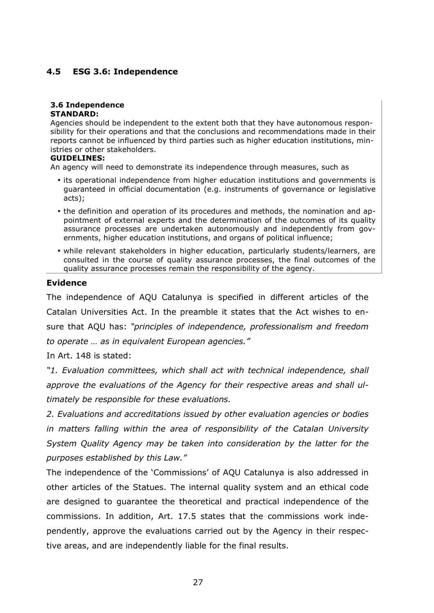## **4.5 ESG 3.6: Independence**

# **3.6 Independence**

#### **STANDARD:**

Agencies should be independent to the extent both that they have autonomous responsibility for their operations and that the conclusions and recommendations made in their reports cannot be influenced by third parties such as higher education institutions, ministries or other stakeholders.

#### **GUIDELINES:**

An agency will need to demonstrate its independence through measures, such as

- its operational independence from higher education institutions and governments is guaranteed in official documentation (e.g. instruments of governance or legislative acts);
- the definition and operation of its procedures and methods, the nomination and appointment of external experts and the determination of the outcomes of its quality assurance processes are undertaken autonomously and independently from governments, higher education institutions, and organs of political influence;
- while relevant stakeholders in higher education, particularly students/learners, are consulted in the course of quality assurance processes, the final outcomes of the quality assurance processes remain the responsibility of the agency.

#### **Evidence**

The independence of AQU Catalunya is specified in different articles of the Catalan Universities Act. In the preamble it states that the Act wishes to ensure that AQU has: *"principles of independence, professionalism and freedom to operate … as in equivalent European agencies."* 

In Art. 148 is stated:

*"1. Evaluation committees, which shall act with technical independence, shall approve the evaluations of the Agency for their respective areas and shall ultimately be responsible for these evaluations.* 

*2. Evaluations and accreditations issued by other evaluation agencies or bodies in matters falling within the area of responsibility of the Catalan University System Quality Agency may be taken into consideration by the latter for the purposes established by this Law."* 

The independence of the 'Commissions' of AQU Catalunya is also addressed in other articles of the Statues. The internal quality system and an ethical code are designed to guarantee the theoretical and practical independence of the commissions. In addition, Art. 17.5 states that the commissions work independently, approve the evaluations carried out by the Agency in their respective areas, and are independently liable for the final results.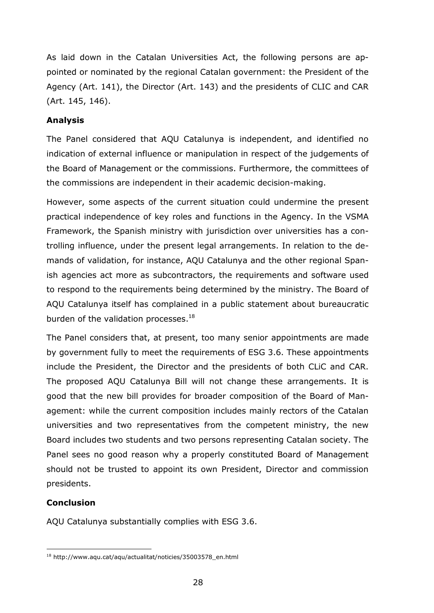As laid down in the Catalan Universities Act, the following persons are appointed or nominated by the regional Catalan government: the President of the Agency (Art. 141), the Director (Art. 143) and the presidents of CLIC and CAR (Art. 145, 146).

### **Analysis**

The Panel considered that AQU Catalunya is independent, and identified no indication of external influence or manipulation in respect of the judgements of the Board of Management or the commissions. Furthermore, the committees of the commissions are independent in their academic decision-making.

However, some aspects of the current situation could undermine the present practical independence of key roles and functions in the Agency. In the VSMA Framework, the Spanish ministry with jurisdiction over universities has a controlling influence, under the present legal arrangements. In relation to the demands of validation, for instance, AQU Catalunya and the other regional Spanish agencies act more as subcontractors, the requirements and software used to respond to the requirements being determined by the ministry. The Board of AQU Catalunya itself has complained in a public statement about bureaucratic burden of the validation processes. $^{18}$ 

The Panel considers that, at present, too many senior appointments are made by government fully to meet the requirements of ESG 3.6. These appointments include the President, the Director and the presidents of both CLiC and CAR. The proposed AQU Catalunya Bill will not change these arrangements. It is good that the new bill provides for broader composition of the Board of Management: while the current composition includes mainly rectors of the Catalan universities and two representatives from the competent ministry, the new Board includes two students and two persons representing Catalan society. The Panel sees no good reason why a properly constituted Board of Management should not be trusted to appoint its own President, Director and commission presidents.

## **Conclusion**

AQU Catalunya substantially complies with ESG 3.6.

l <sup>18</sup> http://www.aqu.cat/aqu/actualitat/noticies/35003578\_en.html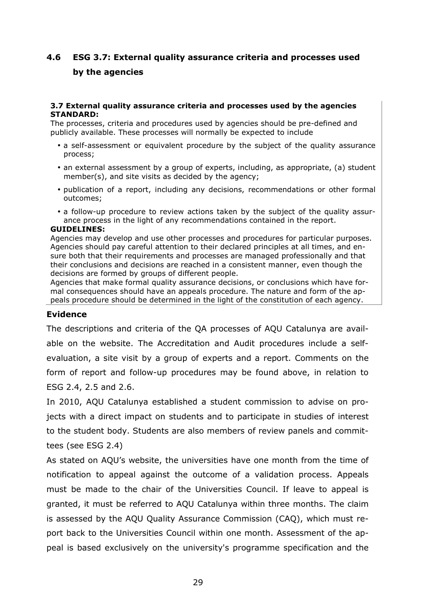## **4.6 ESG 3.7: External quality assurance criteria and processes used by the agencies**

#### **3.7 External quality assurance criteria and processes used by the agencies STANDARD:**

The processes, criteria and procedures used by agencies should be pre-defined and publicly available. These processes will normally be expected to include

- a self-assessment or equivalent procedure by the subject of the quality assurance process;
- an external assessment by a group of experts, including, as appropriate, (a) student member(s), and site visits as decided by the agency;
- publication of a report, including any decisions, recommendations or other formal outcomes;
- a follow-up procedure to review actions taken by the subject of the quality assurance process in the light of any recommendations contained in the report.

#### **GUIDELINES:**

Agencies may develop and use other processes and procedures for particular purposes. Agencies should pay careful attention to their declared principles at all times, and ensure both that their requirements and processes are managed professionally and that their conclusions and decisions are reached in a consistent manner, even though the decisions are formed by groups of different people.

Agencies that make formal quality assurance decisions, or conclusions which have formal consequences should have an appeals procedure. The nature and form of the appeals procedure should be determined in the light of the constitution of each agency.

### **Evidence**

The descriptions and criteria of the QA processes of AQU Catalunya are available on the website. The Accreditation and Audit procedures include a selfevaluation, a site visit by a group of experts and a report. Comments on the form of report and follow-up procedures may be found above, in relation to ESG 2.4, 2.5 and 2.6.

In 2010, AQU Catalunya established a student commission to advise on projects with a direct impact on students and to participate in studies of interest to the student body. Students are also members of review panels and committees (see ESG 2.4)

As stated on AQU's website, the universities have one month from the time of notification to appeal against the outcome of a validation process. Appeals must be made to the chair of the Universities Council. If leave to appeal is granted, it must be referred to AQU Catalunya within three months. The claim is assessed by the AQU Quality Assurance Commission (CAQ), which must report back to the Universities Council within one month. Assessment of the appeal is based exclusively on the university's programme specification and the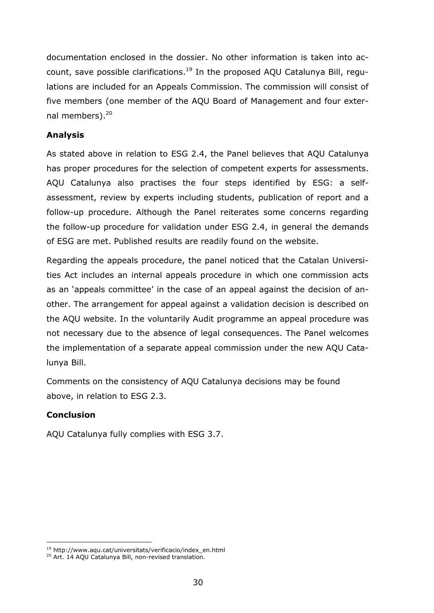documentation enclosed in the dossier. No other information is taken into account, save possible clarifications.<sup>19</sup> In the proposed AQU Catalunya Bill, requlations are included for an Appeals Commission. The commission will consist of five members (one member of the AQU Board of Management and four external members).<sup>20</sup>

## **Analysis**

As stated above in relation to ESG 2.4, the Panel believes that AQU Catalunya has proper procedures for the selection of competent experts for assessments. AQU Catalunya also practises the four steps identified by ESG: a selfassessment, review by experts including students, publication of report and a follow-up procedure. Although the Panel reiterates some concerns regarding the follow-up procedure for validation under ESG 2.4, in general the demands of ESG are met. Published results are readily found on the website.

Regarding the appeals procedure, the panel noticed that the Catalan Universities Act includes an internal appeals procedure in which one commission acts as an 'appeals committee' in the case of an appeal against the decision of another. The arrangement for appeal against a validation decision is described on the AQU website. In the voluntarily Audit programme an appeal procedure was not necessary due to the absence of legal consequences. The Panel welcomes the implementation of a separate appeal commission under the new AQU Catalunya Bill.

Comments on the consistency of AQU Catalunya decisions may be found above, in relation to ESG 2.3.

### **Conclusion**

l

AQU Catalunya fully complies with ESG 3.7.

<sup>19</sup> http://www.aqu.cat/universitats/verificacio/index\_en.html

<sup>&</sup>lt;sup>20</sup> Art. 14 AQU Catalunya Bill, non-revised translation.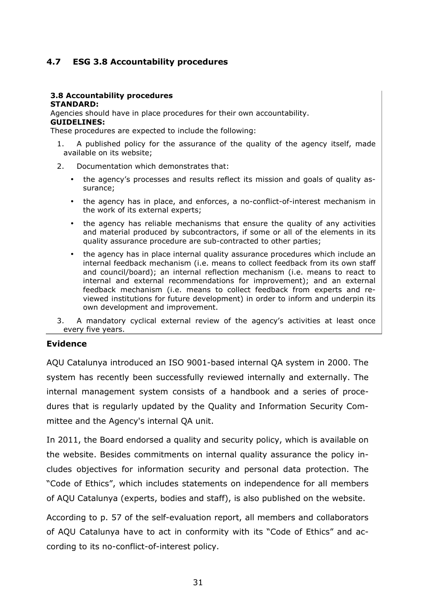## **4.7 ESG 3.8 Accountability procedures**

#### **3.8 Accountability procedures STANDARD:**

Agencies should have in place procedures for their own accountability. **GUIDELINES:** 

These procedures are expected to include the following:

- 1. A published policy for the assurance of the quality of the agency itself, made available on its website;
- 2. Documentation which demonstrates that:
	- the agency's processes and results reflect its mission and goals of quality assurance;
	- the agency has in place, and enforces, a no-conflict-of-interest mechanism in the work of its external experts;
	- the agency has reliable mechanisms that ensure the quality of any activities and material produced by subcontractors, if some or all of the elements in its quality assurance procedure are sub-contracted to other parties;
	- the agency has in place internal quality assurance procedures which include an internal feedback mechanism (i.e. means to collect feedback from its own staff and council/board); an internal reflection mechanism (i.e. means to react to internal and external recommendations for improvement); and an external feedback mechanism (i.e. means to collect feedback from experts and reviewed institutions for future development) in order to inform and underpin its own development and improvement.
- 3. A mandatory cyclical external review of the agency's activities at least once every five years.

#### **Evidence**

AQU Catalunya introduced an ISO 9001-based internal QA system in 2000. The system has recently been successfully reviewed internally and externally. The internal management system consists of a handbook and a series of procedures that is regularly updated by the Quality and Information Security Committee and the Agency's internal QA unit.

In 2011, the Board endorsed a quality and security policy, which is available on the website. Besides commitments on internal quality assurance the policy includes objectives for information security and personal data protection. The "Code of Ethics", which includes statements on independence for all members of AQU Catalunya (experts, bodies and staff), is also published on the website.

According to p. 57 of the self-evaluation report, all members and collaborators of AQU Catalunya have to act in conformity with its "Code of Ethics" and according to its no-conflict-of-interest policy.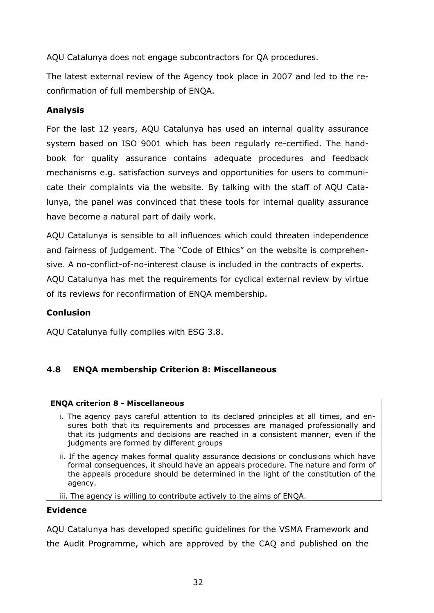AQU Catalunya does not engage subcontractors for QA procedures.

The latest external review of the Agency took place in 2007 and led to the reconfirmation of full membership of ENQA.

### **Analysis**

For the last 12 years, AQU Catalunya has used an internal quality assurance system based on ISO 9001 which has been regularly re-certified. The handbook for quality assurance contains adequate procedures and feedback mechanisms e.g. satisfaction surveys and opportunities for users to communicate their complaints via the website. By talking with the staff of AQU Catalunya, the panel was convinced that these tools for internal quality assurance have become a natural part of daily work.

AQU Catalunya is sensible to all influences which could threaten independence and fairness of judgement. The "Code of Ethics" on the website is comprehensive. A no-conflict-of-no-interest clause is included in the contracts of experts. AQU Catalunya has met the requirements for cyclical external review by virtue of its reviews for reconfirmation of ENQA membership.

### **Conlusion**

AQU Catalunya fully complies with ESG 3.8.

## **4.8 ENQA membership Criterion 8: Miscellaneous**

#### **ENQA criterion 8 - Miscellaneous**

- i. The agency pays careful attention to its declared principles at all times, and ensures both that its requirements and processes are managed professionally and that its judgments and decisions are reached in a consistent manner, even if the judgments are formed by different groups
- ii. If the agency makes formal quality assurance decisions or conclusions which have formal consequences, it should have an appeals procedure. The nature and form of the appeals procedure should be determined in the light of the constitution of the agency.
- iii. The agency is willing to contribute actively to the aims of ENQA.

### **Evidence**

AQU Catalunya has developed specific guidelines for the VSMA Framework and the Audit Programme, which are approved by the CAQ and published on the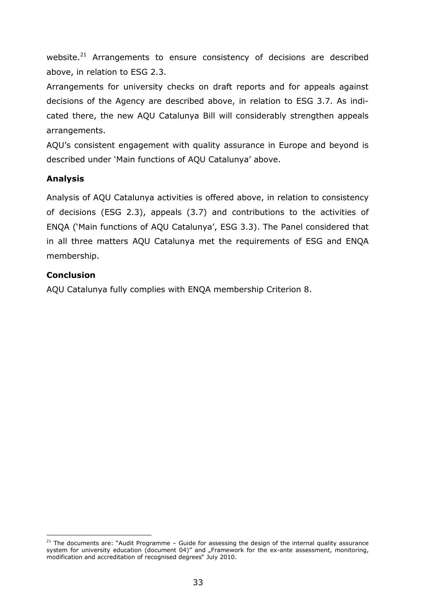website.<sup>21</sup> Arrangements to ensure consistency of decisions are described above, in relation to ESG 2.3.

Arrangements for university checks on draft reports and for appeals against decisions of the Agency are described above, in relation to ESG 3.7. As indicated there, the new AQU Catalunya Bill will considerably strengthen appeals arrangements.

AQU's consistent engagement with quality assurance in Europe and beyond is described under 'Main functions of AQU Catalunya' above.

## **Analysis**

Analysis of AQU Catalunya activities is offered above, in relation to consistency of decisions (ESG 2.3), appeals (3.7) and contributions to the activities of ENQA ('Main functions of AQU Catalunya', ESG 3.3). The Panel considered that in all three matters AQU Catalunya met the requirements of ESG and ENQA membership.

## **Conclusion**

AQU Catalunya fully complies with ENQA membership Criterion 8.

<sup>1</sup>  $^{21}$  The documents are: "Audit Programme – Guide for assessing the design of the internal quality assurance system for university education (document 04)" and "Framework for the ex-ante assessment, monitoring, modification and accreditation of recognised degrees" July 2010.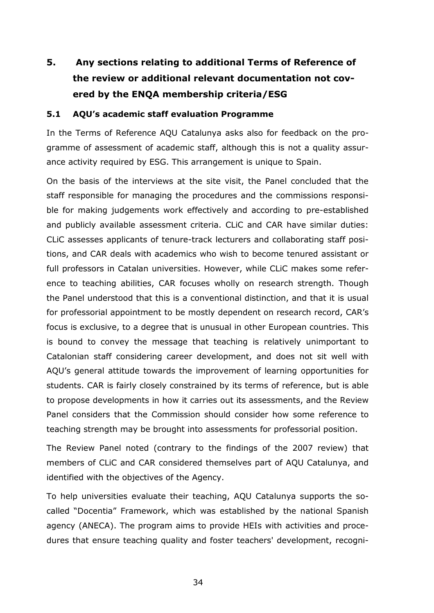# **5. Any sections relating to additional Terms of Reference of the review or additional relevant documentation not covered by the ENQA membership criteria/ESG**

### **5.1 AQU's academic staff evaluation Programme**

In the Terms of Reference AQU Catalunya asks also for feedback on the programme of assessment of academic staff, although this is not a quality assurance activity required by ESG. This arrangement is unique to Spain.

On the basis of the interviews at the site visit, the Panel concluded that the staff responsible for managing the procedures and the commissions responsible for making judgements work effectively and according to pre-established and publicly available assessment criteria. CLiC and CAR have similar duties: CLiC assesses applicants of tenure-track lecturers and collaborating staff positions, and CAR deals with academics who wish to become tenured assistant or full professors in Catalan universities. However, while CLiC makes some reference to teaching abilities, CAR focuses wholly on research strength. Though the Panel understood that this is a conventional distinction, and that it is usual for professorial appointment to be mostly dependent on research record, CAR's focus is exclusive, to a degree that is unusual in other European countries. This is bound to convey the message that teaching is relatively unimportant to Catalonian staff considering career development, and does not sit well with AQU's general attitude towards the improvement of learning opportunities for students. CAR is fairly closely constrained by its terms of reference, but is able to propose developments in how it carries out its assessments, and the Review Panel considers that the Commission should consider how some reference to teaching strength may be brought into assessments for professorial position.

The Review Panel noted (contrary to the findings of the 2007 review) that members of CLiC and CAR considered themselves part of AQU Catalunya, and identified with the objectives of the Agency.

To help universities evaluate their teaching, AQU Catalunya supports the socalled "Docentia" Framework, which was established by the national Spanish agency (ANECA). The program aims to provide HEIs with activities and procedures that ensure teaching quality and foster teachers' development, recogni-

34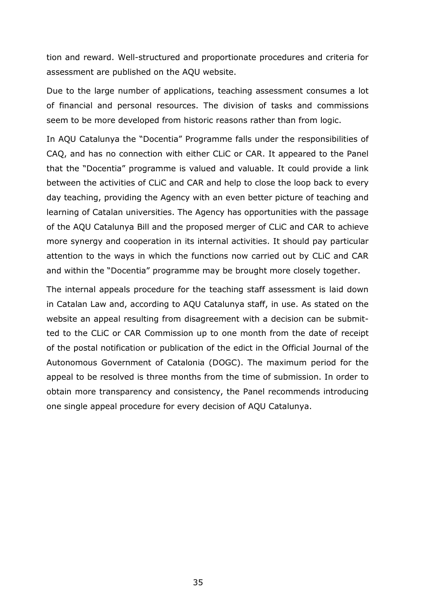tion and reward. Well-structured and proportionate procedures and criteria for assessment are published on the AQU website.

Due to the large number of applications, teaching assessment consumes a lot of financial and personal resources. The division of tasks and commissions seem to be more developed from historic reasons rather than from logic.

In AQU Catalunya the "Docentia" Programme falls under the responsibilities of CAQ, and has no connection with either CLiC or CAR. It appeared to the Panel that the "Docentia" programme is valued and valuable. It could provide a link between the activities of CLiC and CAR and help to close the loop back to every day teaching, providing the Agency with an even better picture of teaching and learning of Catalan universities. The Agency has opportunities with the passage of the AQU Catalunya Bill and the proposed merger of CLiC and CAR to achieve more synergy and cooperation in its internal activities. It should pay particular attention to the ways in which the functions now carried out by CLiC and CAR and within the "Docentia" programme may be brought more closely together.

The internal appeals procedure for the teaching staff assessment is laid down in Catalan Law and, according to AQU Catalunya staff, in use. As stated on the website an appeal resulting from disagreement with a decision can be submitted to the CLiC or CAR Commission up to one month from the date of receipt of the postal notification or publication of the edict in the Official Journal of the Autonomous Government of Catalonia (DOGC). The maximum period for the appeal to be resolved is three months from the time of submission. In order to obtain more transparency and consistency, the Panel recommends introducing one single appeal procedure for every decision of AQU Catalunya.

35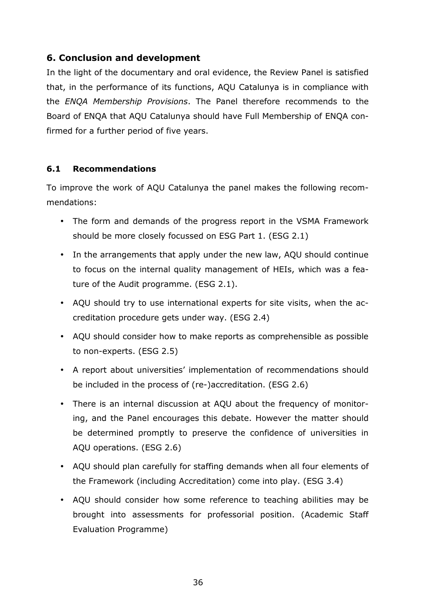## **6. Conclusion and development**

In the light of the documentary and oral evidence, the Review Panel is satisfied that, in the performance of its functions, AQU Catalunya is in compliance with the *ENQA Membership Provisions*. The Panel therefore recommends to the Board of ENQA that AQU Catalunya should have Full Membership of ENQA confirmed for a further period of five years.

### **6.1 Recommendations**

To improve the work of AQU Catalunya the panel makes the following recommendations:

- The form and demands of the progress report in the VSMA Framework should be more closely focussed on ESG Part 1. (ESG 2.1)
- In the arrangements that apply under the new law, AQU should continue to focus on the internal quality management of HEIs, which was a feature of the Audit programme. (ESG 2.1).
- AQU should try to use international experts for site visits, when the accreditation procedure gets under way. (ESG 2.4)
- AQU should consider how to make reports as comprehensible as possible to non-experts. (ESG 2.5)
- A report about universities' implementation of recommendations should be included in the process of (re-)accreditation. (ESG 2.6)
- There is an internal discussion at AQU about the frequency of monitoring, and the Panel encourages this debate. However the matter should be determined promptly to preserve the confidence of universities in AQU operations. (ESG 2.6)
- AQU should plan carefully for staffing demands when all four elements of the Framework (including Accreditation) come into play. (ESG 3.4)
- AQU should consider how some reference to teaching abilities may be brought into assessments for professorial position. (Academic Staff Evaluation Programme)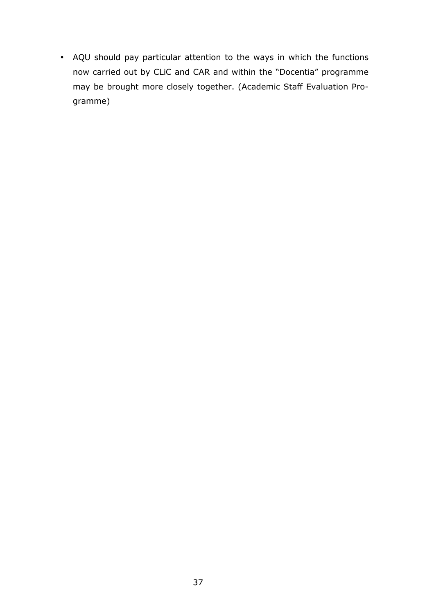• AQU should pay particular attention to the ways in which the functions now carried out by CLiC and CAR and within the "Docentia" programme may be brought more closely together. (Academic Staff Evaluation Programme)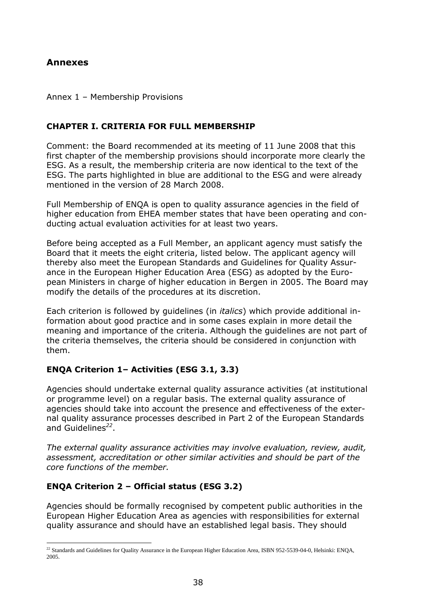## **Annexes**

#### Annex 1 – Membership Provisions

### **CHAPTER I. CRITERIA FOR FULL MEMBERSHIP**

Comment: the Board recommended at its meeting of 11 June 2008 that this first chapter of the membership provisions should incorporate more clearly the ESG. As a result, the membership criteria are now identical to the text of the ESG. The parts highlighted in blue are additional to the ESG and were already mentioned in the version of 28 March 2008.

Full Membership of ENQA is open to quality assurance agencies in the field of higher education from EHEA member states that have been operating and conducting actual evaluation activities for at least two years.

Before being accepted as a Full Member, an applicant agency must satisfy the Board that it meets the eight criteria, listed below. The applicant agency will thereby also meet the European Standards and Guidelines for Quality Assurance in the European Higher Education Area (ESG) as adopted by the European Ministers in charge of higher education in Bergen in 2005. The Board may modify the details of the procedures at its discretion.

Each criterion is followed by guidelines (in *italics*) which provide additional information about good practice and in some cases explain in more detail the meaning and importance of the criteria. Although the guidelines are not part of the criteria themselves, the criteria should be considered in conjunction with them.

### **ENQA Criterion 1– Activities (ESG 3.1, 3.3)**

Agencies should undertake external quality assurance activities (at institutional or programme level) on a regular basis. The external quality assurance of agencies should take into account the presence and effectiveness of the external quality assurance processes described in Part 2 of the European Standards and Guidelines*<sup>22</sup>* .

*The external quality assurance activities may involve evaluation, review, audit, assessment, accreditation or other similar activities and should be part of the core functions of the member.* 

## **ENQA Criterion 2 – Official status (ESG 3.2)**

Agencies should be formally recognised by competent public authorities in the European Higher Education Area as agencies with responsibilities for external quality assurance and should have an established legal basis. They should

l  $^{22}$  Standards and Guidelines for Quality Assurance in the European Higher Education Area, ISBN 952-5539-04-0, Helsinki: ENQA, 2005.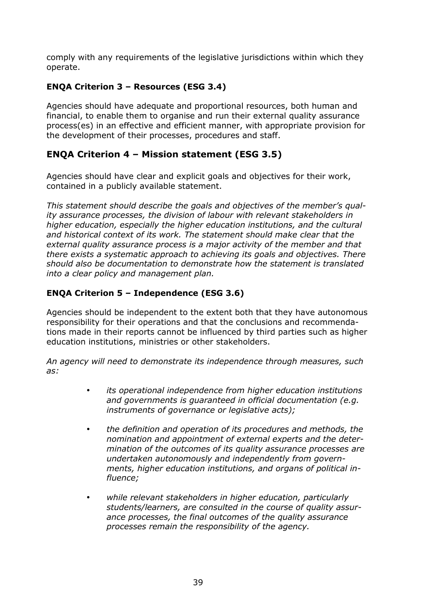comply with any requirements of the legislative jurisdictions within which they operate.

## **ENQA Criterion 3 – Resources (ESG 3.4)**

Agencies should have adequate and proportional resources, both human and financial, to enable them to organise and run their external quality assurance process(es) in an effective and efficient manner, with appropriate provision for the development of their processes, procedures and staff.

## **ENQA Criterion 4 – Mission statement (ESG 3.5)**

Agencies should have clear and explicit goals and objectives for their work, contained in a publicly available statement.

*This statement should describe the goals and objectives of the member's quality assurance processes, the division of labour with relevant stakeholders in higher education, especially the higher education institutions, and the cultural and historical context of its work. The statement should make clear that the external quality assurance process is a major activity of the member and that there exists a systematic approach to achieving its goals and objectives. There should also be documentation to demonstrate how the statement is translated into a clear policy and management plan.* 

## **ENQA Criterion 5 – Independence (ESG 3.6)**

Agencies should be independent to the extent both that they have autonomous responsibility for their operations and that the conclusions and recommendations made in their reports cannot be influenced by third parties such as higher education institutions, ministries or other stakeholders.

*An agency will need to demonstrate its independence through measures, such as:* 

- *its operational independence from higher education institutions and governments is guaranteed in official documentation (e.g. instruments of governance or legislative acts);*
- *the definition and operation of its procedures and methods, the nomination and appointment of external experts and the determination of the outcomes of its quality assurance processes are undertaken autonomously and independently from governments, higher education institutions, and organs of political influence;*
- *while relevant stakeholders in higher education, particularly students/learners, are consulted in the course of quality assurance processes, the final outcomes of the quality assurance processes remain the responsibility of the agency.*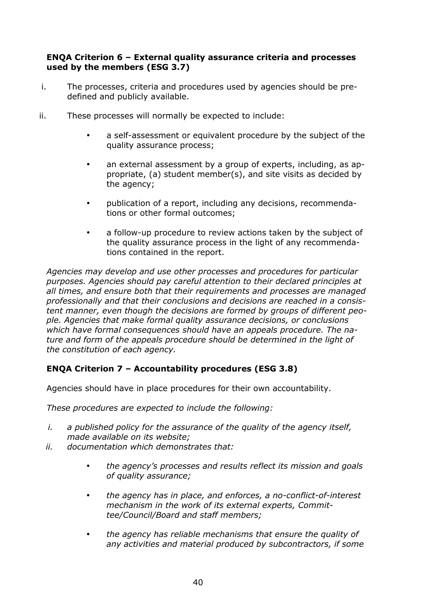#### **ENQA Criterion 6 – External quality assurance criteria and processes used by the members (ESG 3.7)**

- i. The processes, criteria and procedures used by agencies should be predefined and publicly available.
- ii. These processes will normally be expected to include:
	- a self-assessment or equivalent procedure by the subject of the quality assurance process;
	- an external assessment by a group of experts, including, as appropriate, (a) student member(s), and site visits as decided by the agency;
	- publication of a report, including any decisions, recommendations or other formal outcomes;
	- a follow-up procedure to review actions taken by the subject of the quality assurance process in the light of any recommendations contained in the report.

*Agencies may develop and use other processes and procedures for particular purposes. Agencies should pay careful attention to their declared principles at all times, and ensure both that their requirements and processes are managed professionally and that their conclusions and decisions are reached in a consistent manner, even though the decisions are formed by groups of different people. Agencies that make formal quality assurance decisions, or conclusions which have formal consequences should have an appeals procedure. The nature and form of the appeals procedure should be determined in the light of the constitution of each agency.* 

## **ENQA Criterion 7 – Accountability procedures (ESG 3.8)**

Agencies should have in place procedures for their own accountability.

*These procedures are expected to include the following:* 

- *i. a published policy for the assurance of the quality of the agency itself, made available on its website;*
- *ii. documentation which demonstrates that:* 
	- *the agency's processes and results reflect its mission and goals of quality assurance;*
	- *the agency has in place, and enforces, a no-conflict-of-interest mechanism in the work of its external experts, Committee/Council/Board and staff members;*
	- *the agency has reliable mechanisms that ensure the quality of any activities and material produced by subcontractors, if some*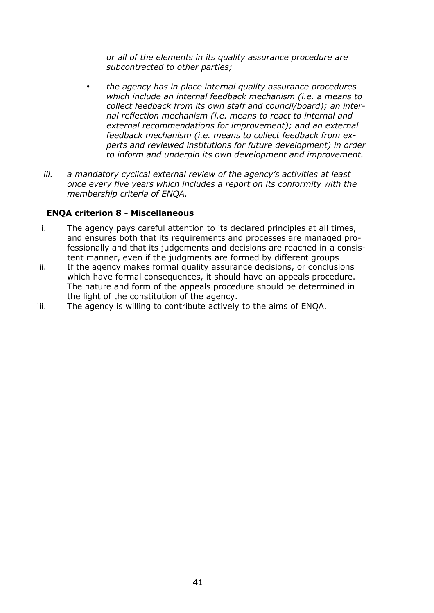*or all of the elements in its quality assurance procedure are subcontracted to other parties;* 

- *the agency has in place internal quality assurance procedures which include an internal feedback mechanism (i.e. a means to collect feedback from its own staff and council/board); an internal reflection mechanism (i.e. means to react to internal and external recommendations for improvement); and an external feedback mechanism (i.e. means to collect feedback from experts and reviewed institutions for future development) in order to inform and underpin its own development and improvement.*
- *iii. a mandatory cyclical external review of the agency's activities at least once every five years which includes a report on its conformity with the membership criteria of ENQA.*

### **ENQA criterion 8 - Miscellaneous**

- i. The agency pays careful attention to its declared principles at all times, and ensures both that its requirements and processes are managed professionally and that its judgements and decisions are reached in a consistent manner, even if the judgments are formed by different groups
- ii. If the agency makes formal quality assurance decisions, or conclusions which have formal consequences, it should have an appeals procedure. The nature and form of the appeals procedure should be determined in the light of the constitution of the agency.
- iii. The agency is willing to contribute actively to the aims of ENQA.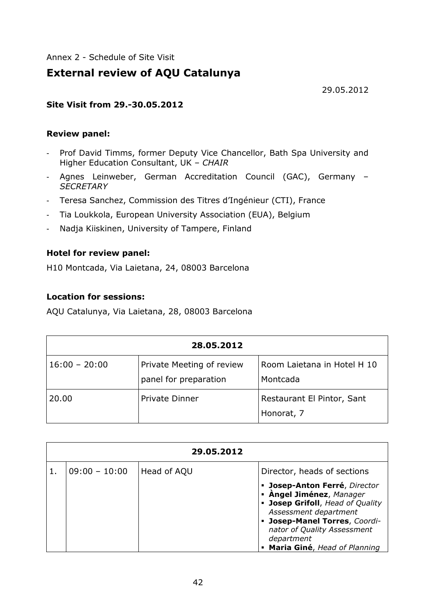Annex 2 - Schedule of Site Visit

# **External review of AQU Catalunya**

29.05.2012

### **Site Visit from 29.-30.05.2012**

#### **Review panel:**

- Prof David Timms, former Deputy Vice Chancellor, Bath Spa University and Higher Education Consultant, UK – *CHAIR*
- Agnes Leinweber, German Accreditation Council (GAC), Germany *SECRETARY*
- Teresa Sanchez, Commission des Titres d'Ingénieur (CTI), France
- Tia Loukkola, European University Association (EUA), Belgium
- Nadja Kiiskinen, University of Tampere, Finland

### **Hotel for review panel:**

H10 Montcada, Via Laietana, 24, 08003 Barcelona

### **Location for sessions:**

AQU Catalunya, Via Laietana, 28, 08003 Barcelona

| 28.05.2012      |                                                    |                                          |  |
|-----------------|----------------------------------------------------|------------------------------------------|--|
| $16:00 - 20:00$ | Private Meeting of review<br>panel for preparation | Room Laietana in Hotel H 10<br>Montcada  |  |
| 20.00           | <b>Private Dinner</b>                              | Restaurant El Pintor, Sant<br>Honorat, 7 |  |

| 29.05.2012      |             |                                                                                                                                                                                                                                        |  |
|-----------------|-------------|----------------------------------------------------------------------------------------------------------------------------------------------------------------------------------------------------------------------------------------|--|
| $09:00 - 10:00$ | Head of AQU | Director, heads of sections                                                                                                                                                                                                            |  |
|                 |             | · Josep-Anton Ferré, Director<br>• Àngel Jiménez, Manager<br>• Josep Grifoll, Head of Quality<br>Assessment department<br>- Josep-Manel Torres, Coordi-<br>nator of Quality Assessment<br>department<br>• Maria Giné, Head of Planning |  |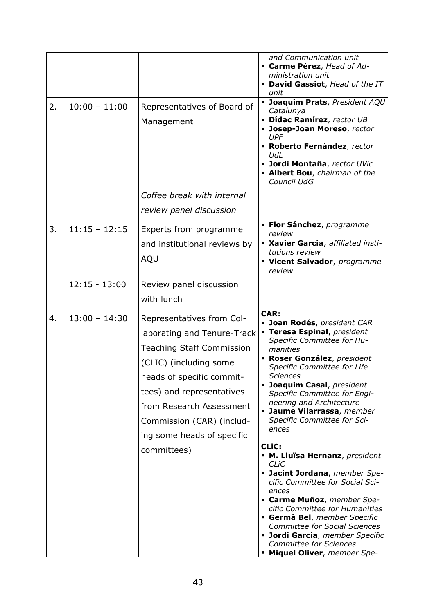| 2. | $10:00 - 11:00$ | Representatives of Board of<br>Management                                                                                                                                                                                                                                              | and Communication unit<br>• Carme Pérez, Head of Ad-<br>ministration unit<br>• David Gassiot, Head of the IT<br>unit<br>· Joaquim Prats, President AQU<br>Catalunya<br>· Dídac Ramírez, rector UB<br>Josep-Joan Moreso, rector<br>UPF<br>• Roberto Fernández, rector<br>UdL<br>· Jordi Montaña, rector UVic<br>• Albert Bou, chairman of the<br>Council UdG                                                                                                                                                                                                                                                                                                                                                                                    |
|----|-----------------|----------------------------------------------------------------------------------------------------------------------------------------------------------------------------------------------------------------------------------------------------------------------------------------|------------------------------------------------------------------------------------------------------------------------------------------------------------------------------------------------------------------------------------------------------------------------------------------------------------------------------------------------------------------------------------------------------------------------------------------------------------------------------------------------------------------------------------------------------------------------------------------------------------------------------------------------------------------------------------------------------------------------------------------------|
|    |                 | Coffee break with internal                                                                                                                                                                                                                                                             |                                                                                                                                                                                                                                                                                                                                                                                                                                                                                                                                                                                                                                                                                                                                                |
|    |                 | review panel discussion                                                                                                                                                                                                                                                                |                                                                                                                                                                                                                                                                                                                                                                                                                                                                                                                                                                                                                                                                                                                                                |
| 3. | $11:15 - 12:15$ | Experts from programme<br>and institutional reviews by<br>AQU                                                                                                                                                                                                                          | · Flor Sánchez, programme<br>review<br>Kavier Garcia, affiliated insti-<br>tutions review<br>Vicent Salvador, programme<br>review                                                                                                                                                                                                                                                                                                                                                                                                                                                                                                                                                                                                              |
|    | $12:15 - 13:00$ | Review panel discussion                                                                                                                                                                                                                                                                |                                                                                                                                                                                                                                                                                                                                                                                                                                                                                                                                                                                                                                                                                                                                                |
|    |                 | with lunch                                                                                                                                                                                                                                                                             |                                                                                                                                                                                                                                                                                                                                                                                                                                                                                                                                                                                                                                                                                                                                                |
| 4. | $13:00 - 14:30$ | Representatives from Col-<br>laborating and Tenure-Track<br><b>Teaching Staff Commission</b><br>(CLIC) (including some<br>heads of specific commit-<br>tees) and representatives<br>from Research Assessment<br>Commission (CAR) (includ-<br>ing some heads of specific<br>committees) | <b>CAR:</b><br>· Joan Rodés, president CAR<br>• Teresa Espinal, president<br>Specific Committee for Hu-<br>manities<br>• Roser González, president<br>Specific Committee for Life<br>Sciences<br>• Joaquim Casal, president<br>Specific Committee for Engi-<br>neering and Architecture<br>• Jaume Vilarrassa, member<br>Specific Committee for Sci-<br>ences<br><b>CLIC:</b><br>• M. Lluïsa Hernanz, president<br>CLIC<br>• Jacint Jordana, member Spe-<br>cific Committee for Social Sci-<br>ences<br>• Carme Muñoz, member Spe-<br>cific Committee for Humanities<br>Germà Bel, member Specific<br><b>Committee for Social Sciences</b><br>· Jordi Garcia, member Specific<br><b>Committee for Sciences</b><br>• Miquel Oliver, member Spe- |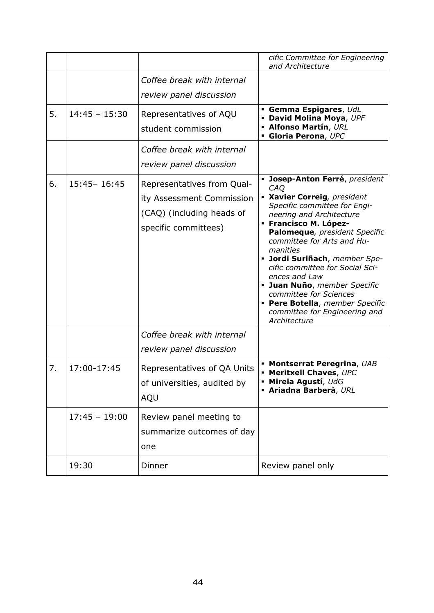|    |                 |                                                                                                              | cific Committee for Engineering<br>and Architecture                                                                                                                                                                                                                                                                                                                                                                                                                     |
|----|-----------------|--------------------------------------------------------------------------------------------------------------|-------------------------------------------------------------------------------------------------------------------------------------------------------------------------------------------------------------------------------------------------------------------------------------------------------------------------------------------------------------------------------------------------------------------------------------------------------------------------|
|    |                 | Coffee break with internal<br>review panel discussion                                                        |                                                                                                                                                                                                                                                                                                                                                                                                                                                                         |
| 5. | $14:45 - 15:30$ | Representatives of AQU<br>student commission                                                                 | <b>• Gemma Espigares</b> , UdL<br>• David Molina Moya, UPF<br><b>- Alfonso Martín, URL</b><br>Gloria Perona, UPC                                                                                                                                                                                                                                                                                                                                                        |
|    |                 | Coffee break with internal<br>review panel discussion                                                        |                                                                                                                                                                                                                                                                                                                                                                                                                                                                         |
| 6. | $15:45 - 16:45$ | Representatives from Qual-<br>ity Assessment Commission<br>(CAQ) (including heads of<br>specific committees) | · Josep-Anton Ferré, president<br>CAQ<br>· Xavier Correig, president<br>Specific committee for Engi-<br>neering and Architecture<br>• Francisco M. López-<br>Palomeque, president Specific<br>committee for Arts and Hu-<br>manities<br>• Jordi Suriñach, member Spe-<br>cific committee for Social Sci-<br>ences and Law<br>· Juan Nuño, member Specific<br>committee for Sciences<br>· Pere Botella, member Specific<br>committee for Engineering and<br>Architecture |
|    |                 | Coffee break with internal<br>review panel discussion                                                        |                                                                                                                                                                                                                                                                                                                                                                                                                                                                         |
| 7. | 17:00-17:45     | Representatives of QA Units<br>of universities, audited by<br>AQU                                            | • Montserrat Peregrina, UAB<br>• Meritxell Chaves, UPC<br>· Mireia Agustí, UdG<br><b>- Ariadna Barberà, URL</b>                                                                                                                                                                                                                                                                                                                                                         |
|    | $17:45 - 19:00$ | Review panel meeting to<br>summarize outcomes of day<br>one                                                  |                                                                                                                                                                                                                                                                                                                                                                                                                                                                         |
|    | 19:30           | Dinner                                                                                                       | Review panel only                                                                                                                                                                                                                                                                                                                                                                                                                                                       |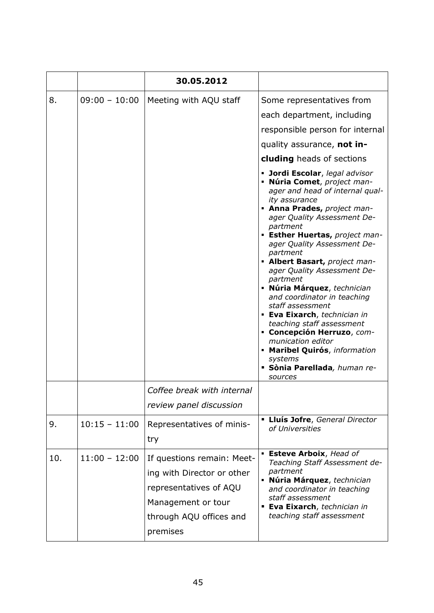|     |                 | 30.05.2012                                                                                                                                      |                                                                                                                                                                                                                                                                                                                                                                                                                                                                                                                                                                                                                                                                                                                                                                                                                |
|-----|-----------------|-------------------------------------------------------------------------------------------------------------------------------------------------|----------------------------------------------------------------------------------------------------------------------------------------------------------------------------------------------------------------------------------------------------------------------------------------------------------------------------------------------------------------------------------------------------------------------------------------------------------------------------------------------------------------------------------------------------------------------------------------------------------------------------------------------------------------------------------------------------------------------------------------------------------------------------------------------------------------|
| 8.  | $09:00 - 10:00$ | Meeting with AQU staff                                                                                                                          | Some representatives from<br>each department, including<br>responsible person for internal<br>quality assurance, not in-<br>cluding heads of sections<br>• Jordi Escolar, legal advisor<br>• Núria Comet, project man-<br>ager and head of internal qual-<br>ity assurance<br>• Anna Prades, project man-<br>ager Quality Assessment De-<br>partment<br>• Esther Huertas, project man-<br>ager Quality Assessment De-<br>partment<br>• Albert Basart, project man-<br>ager Quality Assessment De-<br>partment<br>· Núria Márquez, technician<br>and coordinator in teaching<br>staff assessment<br>· Eva Eixarch, technician in<br>teaching staff assessment<br>• Concepción Herruzo, com-<br>munication editor<br>• Maribel Quirós, information<br>systems<br><b>· Sònia Parellada</b> , human re-<br>sources |
|     |                 | Coffee break with internal<br>review panel discussion                                                                                           |                                                                                                                                                                                                                                                                                                                                                                                                                                                                                                                                                                                                                                                                                                                                                                                                                |
| 9.  | $10:15 - 11:00$ | Representatives of minis-<br>try                                                                                                                | <b>- Lluís Jofre, General Director</b><br>of Universities                                                                                                                                                                                                                                                                                                                                                                                                                                                                                                                                                                                                                                                                                                                                                      |
| 10. | $11:00 - 12:00$ | If questions remain: Meet-<br>ing with Director or other<br>representatives of AQU<br>Management or tour<br>through AQU offices and<br>premises | <b>Esteve Arboix, Head of</b><br>Teaching Staff Assessment de-<br>partment<br>· Núria Márquez, technician<br>and coordinator in teaching<br>staff assessment<br><b>Eva Eixarch</b> , technician in<br>teaching staff assessment                                                                                                                                                                                                                                                                                                                                                                                                                                                                                                                                                                                |